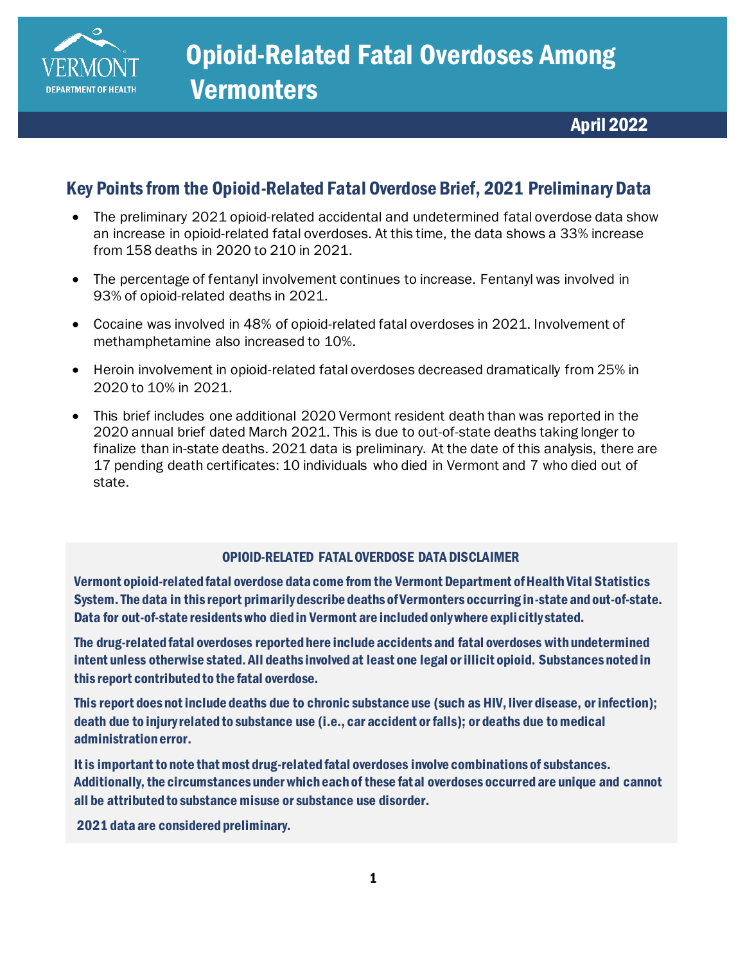

## <span id="page-0-0"></span>Key Points from the Opioid-Related Fatal Overdose Brief, 2021 Preliminary Data

- The preliminary 2021 opioid-related accidental and undetermined fatal overdose data show an increase in opioid-related fatal overdoses. At this time, the data shows a 33% increase from 158 deaths in 2020 to 210 in 2021.
- The percentage of fentanyl involvement continues to increase. Fentanyl was involved in 93% of opioid-related deaths in 2021.
- Cocaine was involved in 48% of opioid-related fatal overdoses in 2021. Involvement of methamphetamine also increased to 10%.
- Heroin involvement in opioid-related fatal overdoses decreased dramatically from 25% in 2020 to 10% in 2021.
- This brief includes one additional 2020 Vermont resident death than was reported in the 2020 annual brief dated March 2021. This is due to out-of-state deaths taking longer to finalize than in-state deaths. 2021 data is preliminary. At the date of this analysis, there are 17 pending death certificates: 10 individuals who died in Vermont and 7 who died out of state.

#### OPIOID-RELATED FATALOVERDOSE DATA DISCLAIMER

Vermont opioid-related fatal overdose data come from the Vermont Department of Health Vital Statistics System. The data in this report primarily describe deaths of Vermonters occurring in-state and out-of-state. Data for out-of-state residents who died in Vermont are included only where explicitly stated.

The drug-related fatal overdoses reported here include accidents and fatal overdoses with undetermined intent unless otherwise stated. All deaths involved at least one legal or illicit opioid. Substances noted in this report contributed to the fatal overdose.

This report does not include deaths due to chronic substance use (such as HIV, liver disease, or infection); death due to injury related to substance use (i.e., car accident or falls); or deaths due to medical administration error.

It is important to note that most drug-related fatal overdoses involve combinations of substances. Additionally, the circumstances under which each of these fatal overdoses occurred are unique and cannot all be attributed to substance misuse or substance use disorder.

2021 data are considered preliminary.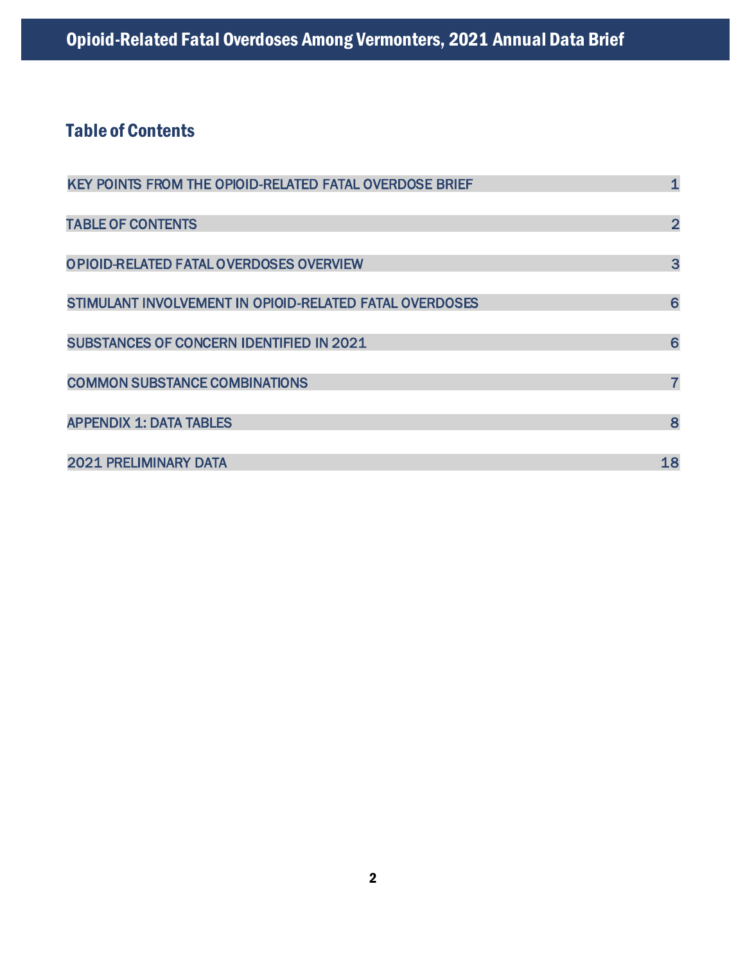# <span id="page-1-0"></span>Table of Contents

| KEY POINTS FROM THE OPIOID-RELATED FATAL OVERDOSE BRIEF | $\mathbf{1}$   |
|---------------------------------------------------------|----------------|
| <b>TABLE OF CONTENTS</b>                                | $\overline{2}$ |
| OPIOID-RELATED FATAL OVERDOSES OVERVIEW                 | $\overline{3}$ |
| STIMULANT INVOLVEMENT IN OPIOID-RELATED FATAL OVERDOSES | 6              |
| <b>SUBSTANCES OF CONCERN IDENTIFIED IN 2021</b>         | 6              |
| <b>COMMON SUBSTANCE COMBINATIONS</b>                    | $\overline{7}$ |
| <b>APPENDIX 1: DATA TABLES</b>                          | 8              |
| <b>2021 PRELIMINARY DATA</b>                            | 18             |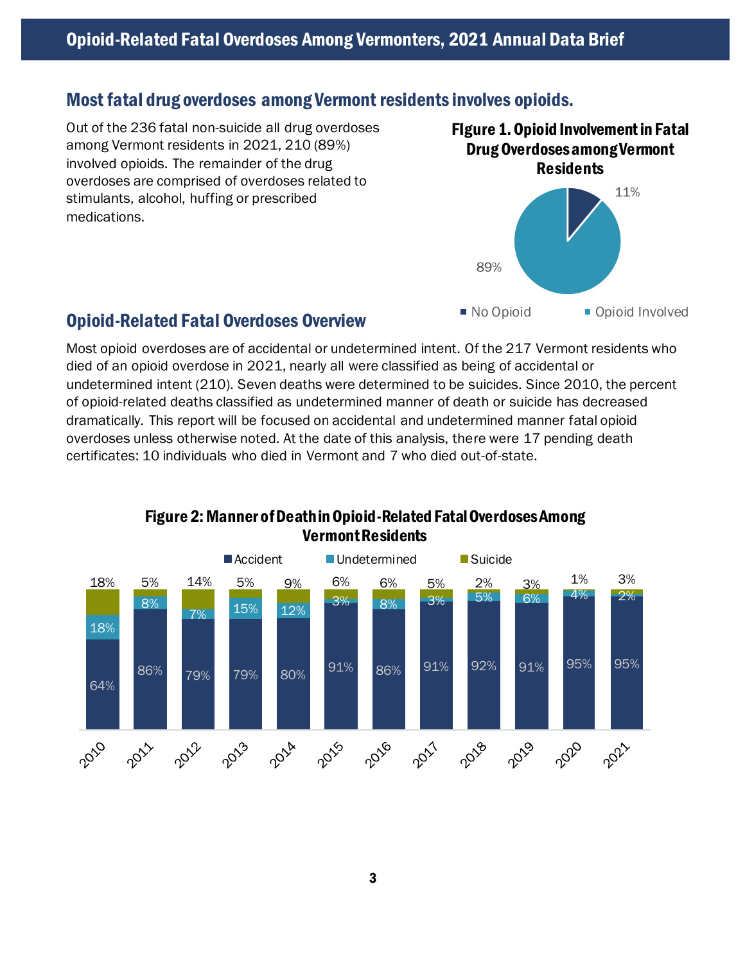### Most fatal drug overdoses among Vermont residents involves opioids.

Out of the 236 fatal non-suicide all drug overdoses among Vermont residents in 2021, 210 (89%) involved opioids. The remainder of the drug overdoses are comprised of overdoses related to stimulants, alcohol, huffing or prescribed medications.





#### Opioid-Related Fatal Overdoses Overview

Most opioid overdoses are of accidental or undetermined intent. Of the 217 Vermont residents who died of an opioid overdose in 2021, nearly all were classified as being of accidental or undetermined intent (210). Seven deaths were determined to be suicides. Since 2010, the percent of opioid-related deaths classified as undetermined manner of death or suicide has decreased dramatically. This report will be focused on accidental and undetermined manner fatal opioid overdoses unless otherwise noted. At the date of this analysis, there were 17 pending death certificates: 10 individuals who died in Vermont and 7 who died out-of-state.



#### Figure 2: Manner of Death in Opioid-Related Fatal Overdoses Among Vermont Residents

3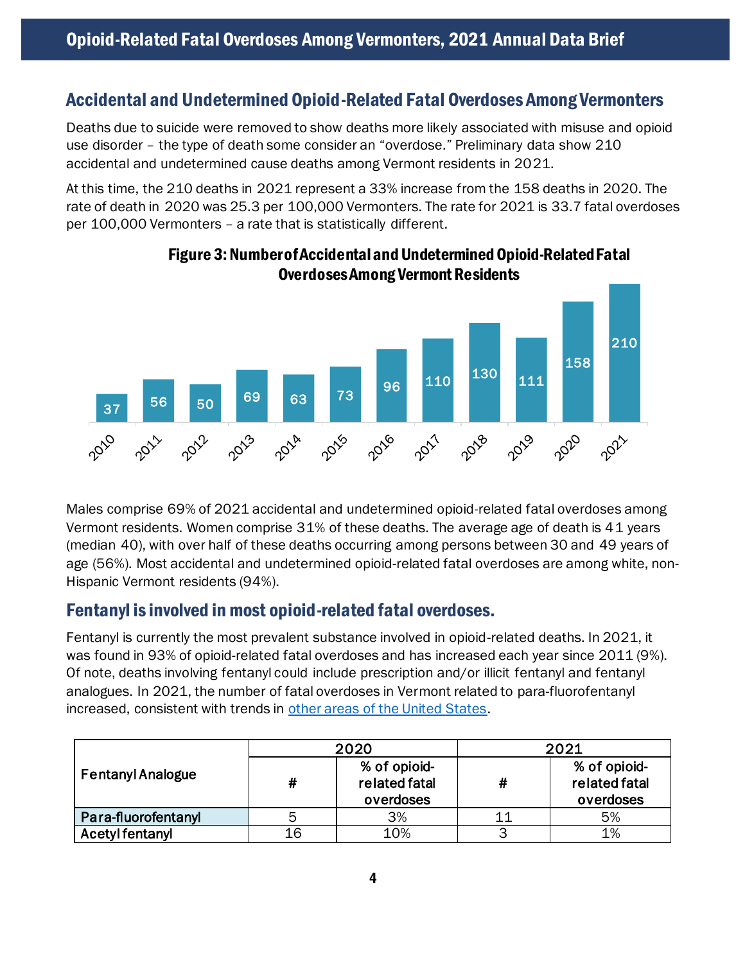### Accidental and Undetermined Opioid-Related Fatal Overdoses Among Vermonters

Deaths due to suicide were removed to show deaths more likely associated with misuse and opioid use disorder – the type of death some consider an "overdose." Preliminary data show 210 accidental and undetermined cause deaths among Vermont residents in 2021.

At this time, the 210 deaths in 2021 represent a 33% increase from the 158 deaths in 2020. The rate of death in 2020 was 25.3 per 100,000 Vermonters. The rate for 2021 is 33.7 fatal overdoses per 100,000 Vermonters – a rate that is statistically different.



#### Figure 3: Number of Accidental and Undetermined Opioid-Related Fatal Overdoses Among Vermont Residents

Males comprise 69% of 2021 accidental and undetermined opioid-related fatal overdoses among Vermont residents. Women comprise 31% of these deaths. The average age of death is 41 years (median 40), with over half of these deaths occurring among persons between 30 and 49 years of age (56%). Most accidental and undetermined opioid-related fatal overdoses are among white, non-Hispanic Vermont residents (94%).

### Fentanyl is involved in most opioid-related fatal overdoses.

Fentanyl is currently the most prevalent substance involved in opioid-related deaths. In 2021, it was found in 93% of opioid-related fatal overdoses and has increased each year since 2011 (9%). Of note, deaths involving fentanyl could include prescription and/or illicit fentanyl and fentanyl analogues. In 2021, the number of fatal overdoses in Vermont related to para-fluorofentanyl increased, consistent with trends in [other areas of the United States](https://www.cdc.gov/mmwr/volumes/71/wr/mm7104a3.htm).

|                          |    | 2020                                       | 2021 |                                            |  |  |  |
|--------------------------|----|--------------------------------------------|------|--------------------------------------------|--|--|--|
| <b>Fentanyl Analogue</b> | #  | % of opioid-<br>related fatal<br>overdoses | #    | % of opioid-<br>related fatal<br>overdoses |  |  |  |
| Para-fluorofentanyl      |    | 3%                                         |      | 5%                                         |  |  |  |
| <b>Acetyl fentanyl</b>   | 16 | 10%                                        | っ    | 1%                                         |  |  |  |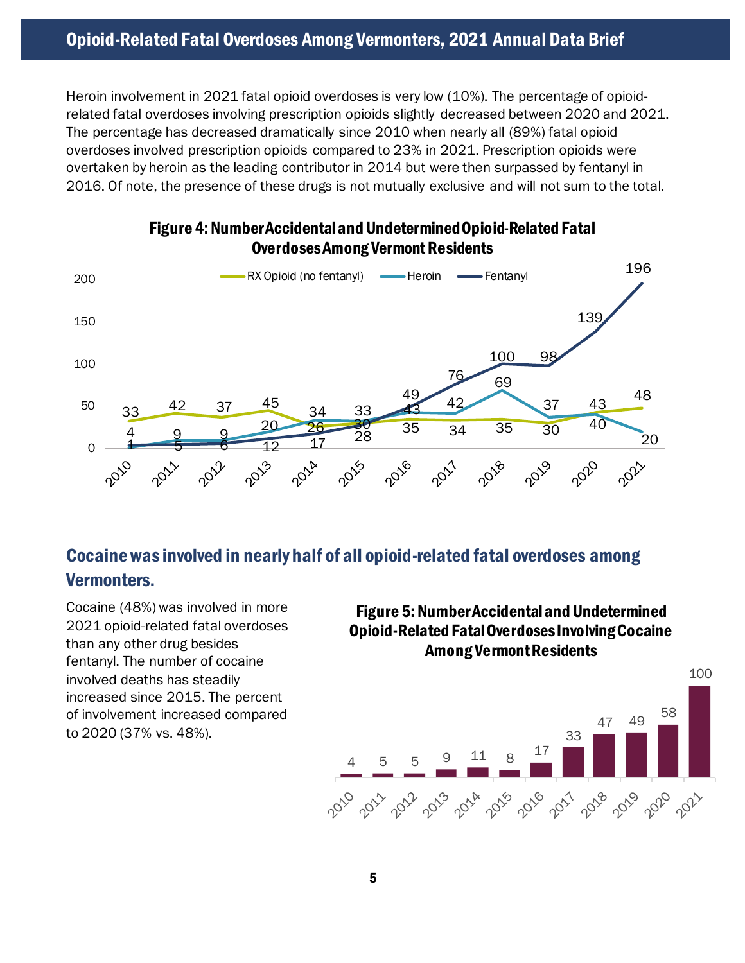Heroin involvement in 2021 fatal opioid overdoses is very low (10%). The percentage of opioidrelated fatal overdoses involving prescription opioids slightly decreased between 2020 and 2021. The percentage has decreased dramatically since 2010 when nearly all (89%) fatal opioid overdoses involved prescription opioids compared to 23% in 2021. Prescription opioids were overtaken by heroin as the leading contributor in 2014 but were then surpassed by fentanyl in 2016. Of note, the presence of these drugs is not mutually exclusive and will not sum to the total.



#### Figure 4: Number Accidental and Undetermined Opioid-Related Fatal Overdoses Among Vermont Residents

# Cocaine was involved in nearly half of all opioid-related fatal overdoses among Vermonters.

Cocaine (48%) was involved in more 2021 opioid-related fatal overdoses than any other drug besides fentanyl. The number of cocaine involved deaths has steadily increased since 2015. The percent of involvement increased compared to 2020 (37% vs. 48%).

### Figure 5: Number Accidental and Undetermined Opioid-Related Fatal Overdoses Involving Cocaine Among Vermont Residents

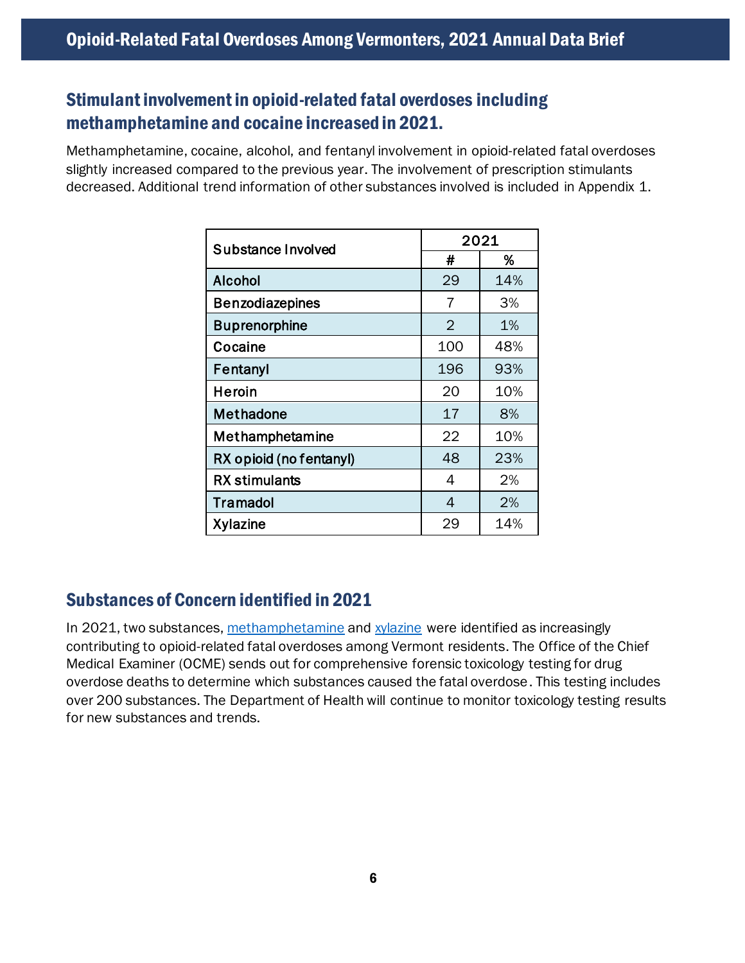# <span id="page-5-0"></span>Stimulant involvementin opioid-related fatal overdoses including methamphetamine and cocaine increased in 2021.

Methamphetamine, cocaine, alcohol, and fentanyl involvement in opioid-related fatal overdoses slightly increased compared to the previous year. The involvement of prescription stimulants decreased. Additional trend information of other substances involved is included in Appendix 1.

| Substance Involved      |                | 2021 |
|-------------------------|----------------|------|
|                         | #              | %    |
| <b>Alcohol</b>          | 29             | 14%  |
| <b>Benzodiazepines</b>  | 7              | 3%   |
| <b>Buprenorphine</b>    | $\overline{2}$ | 1%   |
| Cocaine                 | 100            | 48%  |
| Fentanyl                | 196            | 93%  |
| Heroin                  | 20             | 10%  |
| <b>Methadone</b>        | 17             | 8%   |
| Methamphetamine         | 22             | 10%  |
| RX opioid (no fentanyl) | 48             | 23%  |
| <b>RX</b> stimulants    | 4              | 2%   |
| <b>Tramadol</b>         | 4              | 2%   |
| <b>Xylazine</b>         | 29             | 14%  |

## <span id="page-5-1"></span>Substances of Concern identified in 2021

<span id="page-5-2"></span>In 2021, two substances[, methamphetamine](https://www.healthvermont.gov/sites/default/files/documents/pdf/ADAP-EmergingOverdoseTrends-Report.pdf) an[d xylazine](https://www.healthvermont.gov/sites/default/files/documents/pdf/ADAP-XylazineBrief.pdf) were identified as increasingly contributing to opioid-related fatal overdoses among Vermont residents. The Office of the Chief Medical Examiner (OCME) sends out for comprehensive forensic toxicology testing for drug overdose deaths to determine which substances caused the fatal overdose. This testing includes over 200 substances. The Department of Health will continue to monitor toxicology testing results for new substances and trends.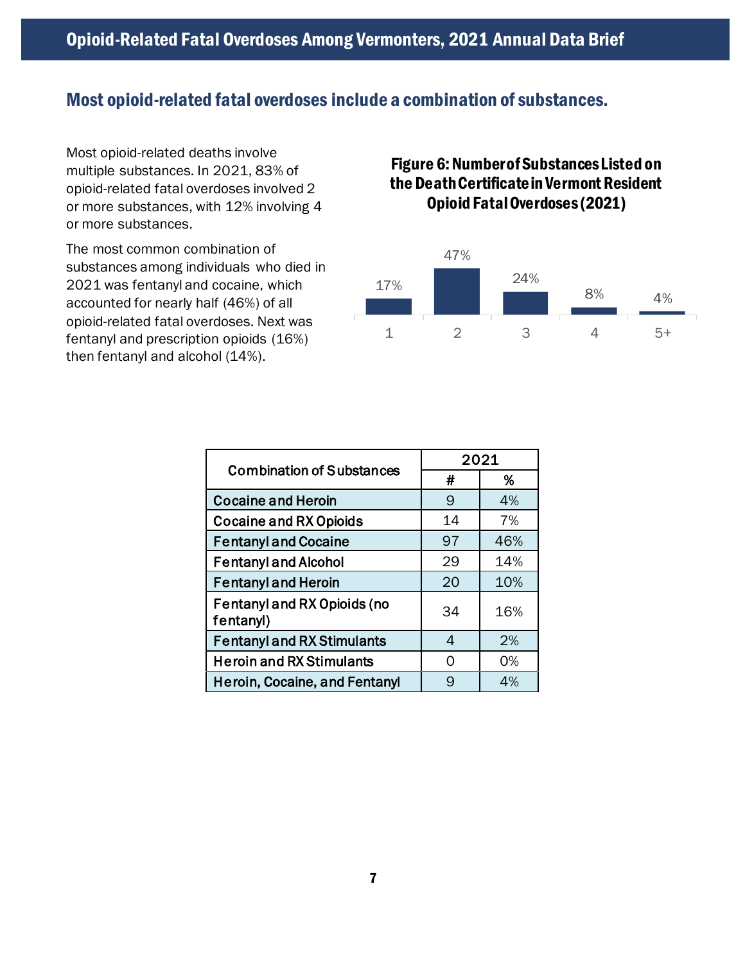#### Most opioid-related fatal overdoses include a combination of substances.

Most opioid-related deaths involve multiple substances. In 2021, 83% of opioid-related fatal overdoses involved 2 or more substances, with 12% involving 4 or more substances.

The most common combination of substances among individuals who died in 2021 was fentanyl and cocaine, which accounted for nearly half (46%) of all opioid-related fatal overdoses. Next was fentanyl and prescription opioids (16%) then fentanyl and alcohol (14%).

### Figure 6: Number of Substances Listed on the Death Certificate in Vermont Resident Opioid Fatal Overdoses (2021)



| <b>Combination of Substances</b>                | 2021 |     |
|-------------------------------------------------|------|-----|
|                                                 | #    | %   |
| <b>Cocaine and Heroin</b>                       | 9    | 4%  |
| <b>Cocaine and RX Opioids</b>                   | 14   | 7%  |
| <b>Fentanyl and Cocaine</b>                     | 97   | 46% |
| <b>Fentanyl and Alcohol</b>                     | 29   | 14% |
| <b>Fentanyl and Heroin</b>                      | 20   | 10% |
| <b>Fentanyl and RX Opioids (no</b><br>fentanyl) | 34   | 16% |
| <b>Fentanyl and RX Stimulants</b>               | 4    | 2%  |
| <b>Heroin and RX Stimulants</b>                 | O    | 0%  |
| <b>Heroin, Cocaine, and Fentanyl</b>            | 9    | 4%  |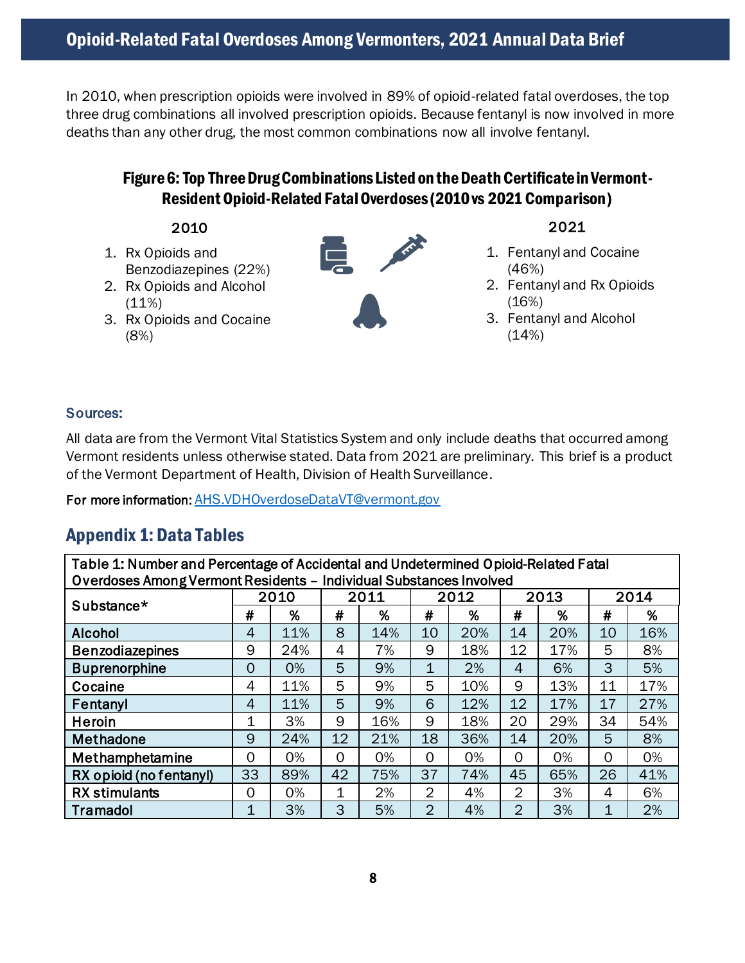In 2010, when prescription opioids were involved in 89% of opioid-related fatal overdoses, the top three drug combinations all involved prescription opioids. Because fentanyl is now involved in more deaths than any other drug, the most common combinations now all involve fentanyl.

### Figure 6: Top ThreeDrug Combinations Listed on the Death Certificate in Vermont-Resident Opioid-Related FatalOverdoses(2010vs 2021 Comparison)

- 2010
- 1. Rx Opioids and Benzodiazepines (22%)
- 2. Rx Opioids and Alcohol  $(11%)$
- 3. Rx Opioids and Cocaine (8%)



#### 2021

- 1. Fentanyl and Cocaine (46%)
- 2. Fentanyl and Rx Opioids (16%)
- 3. Fentanyl and Alcohol  $(14%)$

#### Sources:

All data are from the Vermont Vital Statistics System and only include deaths that occurred among Vermont residents unless otherwise stated. Data from 2021 are preliminary. This brief is a product of the Vermont Department of Health, Division of Health Surveillance.

For more information: [AHS.VDHOverdoseDataVT@vermont.gov](mailto:AHS.VDHOverdoseDataVT@vermont.gov)

## <span id="page-7-0"></span>Appendix 1: Data Tables

| Table 1: Number and Percentage of Accidental and Undetermined Opioid-Related Fatal |                |      |             |     |                |     |                |      |      |     |  |  |  |
|------------------------------------------------------------------------------------|----------------|------|-------------|-----|----------------|-----|----------------|------|------|-----|--|--|--|
| Overdoses Among Vermont Residents - Individual Substances Involved                 |                |      |             |     |                |     |                |      |      |     |  |  |  |
| Substance*                                                                         |                | 2010 | 2011        |     | 2012           |     |                | 2013 | 2014 |     |  |  |  |
|                                                                                    | #              | %    | #           | %   | #              | %   | #              | %    | #    | %   |  |  |  |
| <b>Alcohol</b>                                                                     | 4              | 11%  | 8           | 14% | 10             | 20% | 14             | 20%  | 10   | 16% |  |  |  |
| <b>Benzodiazepines</b>                                                             | 9              | 24%  | 4           | 7%  | 9              | 18% | 12             | 17%  | 5    | 8%  |  |  |  |
| <b>Buprenorphine</b>                                                               | $\overline{0}$ | 0%   | 5           | 9%  | 1              | 2%  | 4              | 6%   | 3    | 5%  |  |  |  |
| Cocaine                                                                            | 4              | 11%  | 5           | 9%  | 5              | 10% | 9              | 13%  | 11   | 17% |  |  |  |
| Fentanyl                                                                           | 4              | 11%  | 5           | 9%  | 6              | 12% | 12             | 17%  | 17   | 27% |  |  |  |
| Heroin                                                                             | 1              | 3%   | 9           | 16% | 9              | 18% | 20             | 29%  | 34   | 54% |  |  |  |
| Methadone                                                                          | 9              | 24%  | 12          | 21% | 18             | 36% | 14             | 20%  | 5    | 8%  |  |  |  |
| Methamphetamine                                                                    | 0              | 0%   | $\Omega$    | 0%  | 0              | 0%  | 0              | 0%   | 0    | 0%  |  |  |  |
| RX opioid (no fentanyl)                                                            | 33             | 89%  | 42          | 75% | 37             | 74% | 45             | 65%  | 26   | 41% |  |  |  |
| <b>RX</b> stimulants                                                               | 0              | 0%   | $\mathbf 1$ | 2%  | $\overline{2}$ | 4%  | 2              | 3%   | 4    | 6%  |  |  |  |
| Tramadol                                                                           | 1              | 3%   | 3           | 5%  | $\overline{2}$ | 4%  | $\overline{2}$ | 3%   | 1    | 2%  |  |  |  |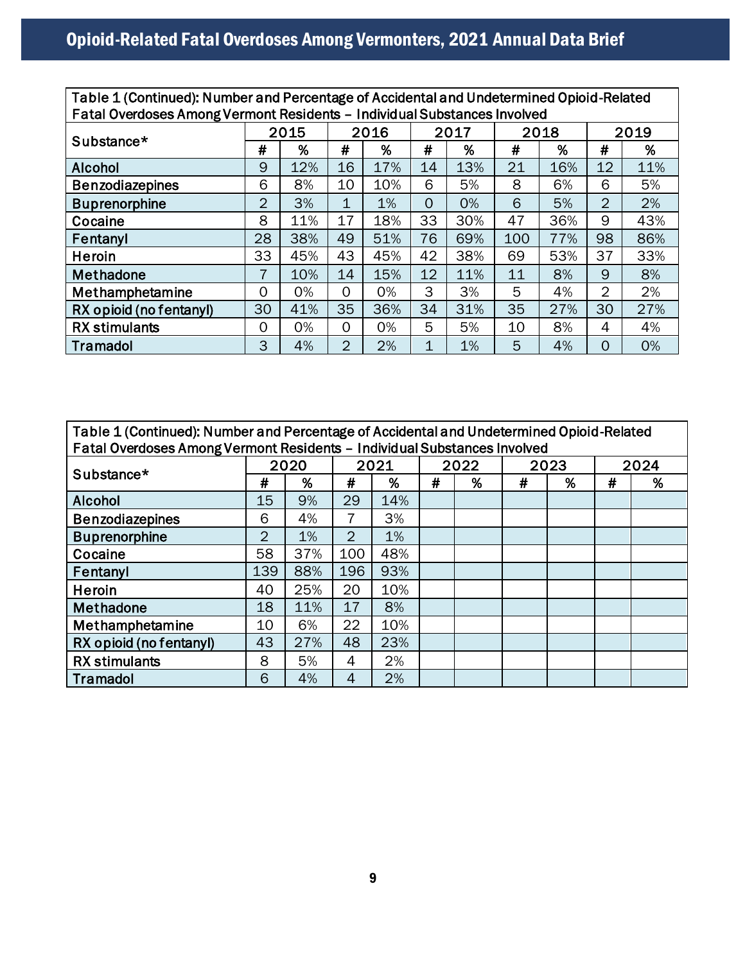| Table 1 (Continued): Number and Percentage of Accidental and Undetermined Opioid-Related<br>Fatal Overdoses Among Vermont Residents - Individual Substances Involved |                |      |              |     |          |     |     |      |                 |     |  |  |  |
|----------------------------------------------------------------------------------------------------------------------------------------------------------------------|----------------|------|--------------|-----|----------|-----|-----|------|-----------------|-----|--|--|--|
|                                                                                                                                                                      |                | 2015 | 2016         |     | 2017     |     |     | 2018 | 2019            |     |  |  |  |
| Substance*                                                                                                                                                           | #              | %    | #            | %   | #        | %   | #   | %    | #               | %   |  |  |  |
| <b>Alcohol</b>                                                                                                                                                       | 9              | 12%  | 16           | 17% | 14       | 13% | 21  | 16%  | 12 <sup>2</sup> | 11% |  |  |  |
| <b>Benzodiazepines</b>                                                                                                                                               | 6              | 8%   | 10           | 10% | 6        | 5%  | 8   | 6%   | 6               | 5%  |  |  |  |
| <b>Buprenorphine</b>                                                                                                                                                 | $\overline{2}$ | 3%   | 1            | 1%  | $\Omega$ | 0%  | 6   | 5%   | $\overline{2}$  | 2%  |  |  |  |
| Cocaine                                                                                                                                                              | 8              | 11%  | 17           | 18% | 33       | 30% | 47  | 36%  | 9               | 43% |  |  |  |
| Fentanyl                                                                                                                                                             | 28             | 38%  | 49           | 51% | 76       | 69% | 100 | 77%  | 98              | 86% |  |  |  |
| Heroin                                                                                                                                                               | 33             | 45%  | 43           | 45% | 42       | 38% | 69  | 53%  | 37              | 33% |  |  |  |
| Methadone                                                                                                                                                            | 7              | 10%  | 14           | 15% | 12       | 11% | 11  | 8%   | 9               | 8%  |  |  |  |
| Methamphetamine                                                                                                                                                      | 0              | 0%   | $\mathbf 0$  | 0%  | 3        | 3%  | 5   | 4%   | 2               | 2%  |  |  |  |
| RX opioid (no fentanyl)                                                                                                                                              | 30             | 41%  | 35           | 36% | 34       | 31% | 35  | 27%  | 30              | 27% |  |  |  |
| <b>RX</b> stimulants                                                                                                                                                 | 0              | 0%   | $\mathbf{O}$ | 0%  | 5        | 5%  | 10  | 8%   | 4               | 4%  |  |  |  |
| Tramadol                                                                                                                                                             | 3              | 4%   | 2            | 2%  | 1        | 1%  | 5   | 4%   | $\Omega$        | 0%  |  |  |  |

| Table 1 (Continued): Number and Percentage of Accidental and Undetermined Opioid-Related<br>Fatal Overdoses Among Vermont Residents - Individual Substances Involved |                |      |                |     |      |   |      |   |   |      |  |  |  |
|----------------------------------------------------------------------------------------------------------------------------------------------------------------------|----------------|------|----------------|-----|------|---|------|---|---|------|--|--|--|
|                                                                                                                                                                      |                | 2020 | 2021           |     | 2022 |   | 2023 |   |   | 2024 |  |  |  |
| Substance*                                                                                                                                                           | #              | %    | #              | %   | #    | % | #    | % | # | %    |  |  |  |
| <b>Alcohol</b>                                                                                                                                                       | 15             | 9%   | 29             | 14% |      |   |      |   |   |      |  |  |  |
| <b>Benzodiazepines</b>                                                                                                                                               | 6              | 4%   | 7              | 3%  |      |   |      |   |   |      |  |  |  |
| <b>Buprenorphine</b>                                                                                                                                                 | $\overline{2}$ | 1%   | $\overline{2}$ | 1%  |      |   |      |   |   |      |  |  |  |
| Cocaine                                                                                                                                                              | 58             | 37%  | 100            | 48% |      |   |      |   |   |      |  |  |  |
| Fentanyl                                                                                                                                                             | 139            | 88%  | 196            | 93% |      |   |      |   |   |      |  |  |  |
| Heroin                                                                                                                                                               | 40             | 25%  | 20             | 10% |      |   |      |   |   |      |  |  |  |
| Methadone                                                                                                                                                            | 18             | 11%  | 17             | 8%  |      |   |      |   |   |      |  |  |  |
| Methamphetamine                                                                                                                                                      | 10             | 6%   | 22             | 10% |      |   |      |   |   |      |  |  |  |
| RX opioid (no fentanyl)                                                                                                                                              | 43             | 27%  | 48             | 23% |      |   |      |   |   |      |  |  |  |
| <b>RX</b> stimulants                                                                                                                                                 | 8              | 5%   | 4              | 2%  |      |   |      |   |   |      |  |  |  |
| Tramadol                                                                                                                                                             | 6              | 4%   | 4              | 2%  |      |   |      |   |   |      |  |  |  |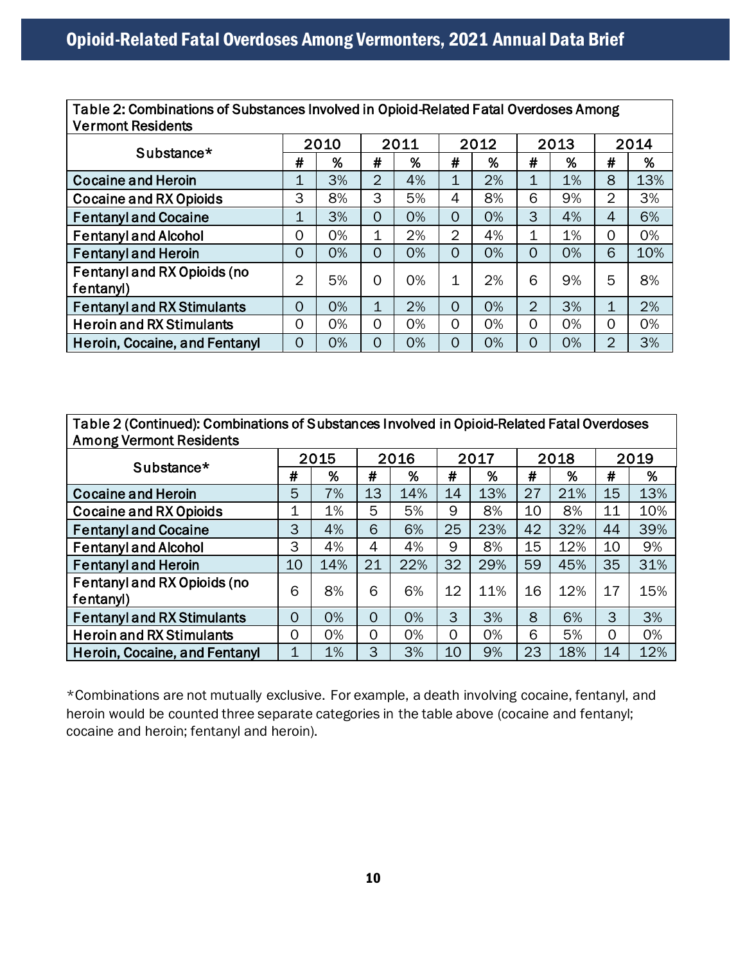Table 2: Combinations of Substances Involved in Opioid-Related Fatal Overdoses Among Vermont Residents

| vermont Residents                        |                |      |                |      |                |      |                |      |                |      |
|------------------------------------------|----------------|------|----------------|------|----------------|------|----------------|------|----------------|------|
| Substance*                               |                | 2010 |                | 2011 |                | 2012 |                | 2013 |                | 2014 |
|                                          | #              | %    | #              | %    | #              | %    | #              | %    | #              | %    |
| <b>Cocaine and Heroin</b>                | 1              | 3%   | $\overline{2}$ | 4%   | $\mathbf{1}$   | 2%   | 1              | 1%   | 8              | 13%  |
| <b>Cocaine and RX Opioids</b>            | 3              | 8%   | 3              | 5%   | 4              | 8%   | 6              | 9%   | $\overline{2}$ | 3%   |
| <b>Fentanyl and Cocaine</b>              | 1              | 3%   | $\overline{0}$ | 0%   | $\Omega$       | 0%   | 3              | 4%   | 4              | 6%   |
| <b>Fentanyl and Alcohol</b>              | 0              | 0%   | 1              | 2%   | $\overline{2}$ | 4%   | 1              | 1%   | 0              | 0%   |
| <b>Fentanyl and Heroin</b>               | 0              | 0%   | $\overline{0}$ | 0%   | $\Omega$       | 0%   | $\overline{O}$ | 0%   | 6              | 10%  |
| Fentanyl and RX Opioids (no<br>fentanyl) | $\overline{2}$ | 5%   | $\overline{0}$ | 0%   | 1              | 2%   | 6              | 9%   | 5              | 8%   |
| <b>Fentanyl and RX Stimulants</b>        | $\overline{0}$ | 0%   | 1              | 2%   | $\Omega$       | 0%   | $\overline{2}$ | 3%   | 1              | 2%   |
| <b>Heroin and RX Stimulants</b>          | 0              | 0%   | 0              | 0%   | 0              | 0%   | $\overline{O}$ | 0%   | 0              | 0%   |
| Heroin, Cocaine, and Fentanyl            | 0              | 0%   | $\overline{0}$ | 0%   | $\Omega$       | 0%   | 0              | 0%   | $\overline{2}$ | 3%   |

Table 2 (Continued): Combinations of Substances Involved in Opioid-Related Fatal Overdoses Among Vermont Residents

|                                          |                | 2015 |                | 2016 |    | 2017 |    | 2018 | 2019 |     |
|------------------------------------------|----------------|------|----------------|------|----|------|----|------|------|-----|
| Substance*                               | #              | %    | #              | %    | #  | %    | #  | %    | #    | %   |
| <b>Cocaine and Heroin</b>                | 5              | 7%   | 13             | 14%  | 14 | 13%  | 27 | 21%  | 15   | 13% |
| <b>Cocaine and RX Opioids</b>            | 1              | 1%   | 5              | 5%   | 9  | 8%   | 10 | 8%   | 11   | 10% |
| <b>Fentanyl and Cocaine</b>              | 3              | 4%   | 6              | 6%   | 25 | 23%  | 42 | 32%  | 44   | 39% |
| <b>Fentanyl and Alcohol</b>              | 3              | 4%   | 4              | 4%   | 9  | 8%   | 15 | 12%  | 10   | 9%  |
| <b>Fentanyl and Heroin</b>               | 10             | 14%  | 21             | 22%  | 32 | 29%  | 59 | 45%  | 35   | 31% |
| Fentanyl and RX Opioids (no<br>fentanyl) | 6              | 8%   | 6              | 6%   | 12 | 11%  | 16 | 12%  | 17   | 15% |
| <b>Fentanyl and RX Stimulants</b>        | $\overline{0}$ | 0%   | $\overline{0}$ | 0%   | 3  | 3%   | 8  | 6%   | 3    | 3%  |
| <b>Heroin and RX Stimulants</b>          | 0              | 0%   | 0              | 0%   | 0  | 0%   | 6  | 5%   | 0    | 0%  |
| Heroin, Cocaine, and Fentanyl            | 1              | 1%   | 3              | 3%   | 10 | 9%   | 23 | 18%  | 14   | 12% |

\*Combinations are not mutually exclusive. For example, a death involving cocaine, fentanyl, and heroin would be counted three separate categories in the table above (cocaine and fentanyl; cocaine and heroin; fentanyl and heroin).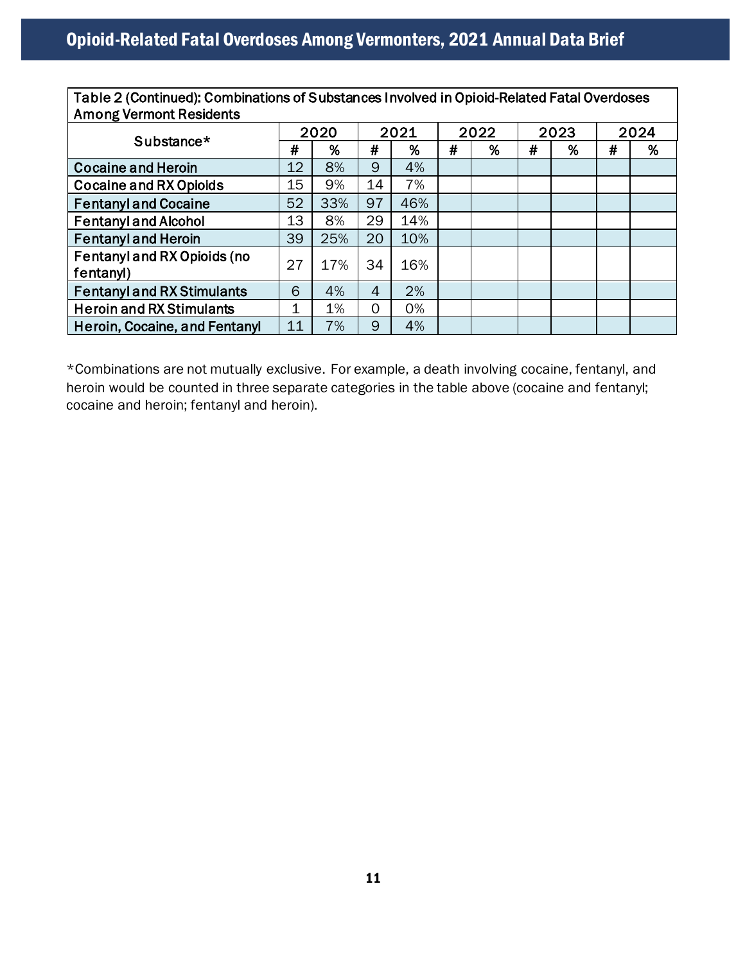Table 2 (Continued): Combinations of Substances Involved in Opioid-Related Fatal Overdoses Among Vermont Residents

|                                   | 2020 |     |    | 2021 |   | 2022 |   | 2023 |   | 2024 |
|-----------------------------------|------|-----|----|------|---|------|---|------|---|------|
| Substance*                        | #    | %   | #  | %    | # | %    | # | %    | # | %    |
| <b>Cocaine and Heroin</b>         | 12   | 8%  | 9  | 4%   |   |      |   |      |   |      |
| <b>Cocaine and RX Opioids</b>     | 15   | 9%  | 14 | 7%   |   |      |   |      |   |      |
| <b>Fentanyl and Cocaine</b>       | 52   | 33% | 97 | 46%  |   |      |   |      |   |      |
| <b>Fentanyl and Alcohol</b>       | 13   | 8%  | 29 | 14%  |   |      |   |      |   |      |
| <b>Fentanyl and Heroin</b>        | 39   | 25% | 20 | 10%  |   |      |   |      |   |      |
| Fentanyl and RX Opioids (no       | 27   | 17% | 34 | 16%  |   |      |   |      |   |      |
| fentanyl)                         |      |     |    |      |   |      |   |      |   |      |
| <b>Fentanyl and RX Stimulants</b> | 6    | 4%  | 4  | 2%   |   |      |   |      |   |      |
| <b>Heroin and RX Stimulants</b>   | 1    | 1%  | 0  | 0%   |   |      |   |      |   |      |
| Heroin, Cocaine, and Fentanyl     | 11   | 7%  | 9  | 4%   |   |      |   |      |   |      |

\*Combinations are not mutually exclusive. For example, a death involving cocaine, fentanyl, and heroin would be counted in three separate categories in the table above (cocaine and fentanyl; cocaine and heroin; fentanyl and heroin).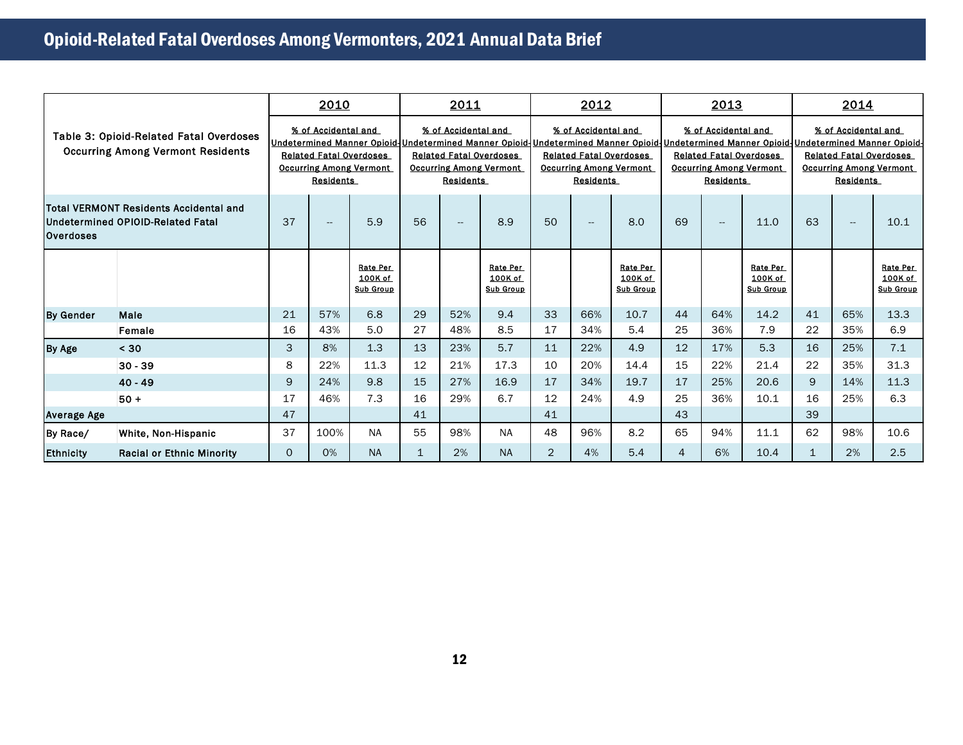|                    | Table 3: Opioid-Related Fatal Overdoses<br><b>Occurring Among Vermont Residents</b> |                         | 2010                                                                                                                                       |                                         |             | 2011                                                                                                        |                                         |     | 2012                                                                                                        |                                         |                | 2013                                                                                                                                                                                                                                |                                         | 2014         |                                                                                                             |                                         |  |
|--------------------|-------------------------------------------------------------------------------------|-------------------------|--------------------------------------------------------------------------------------------------------------------------------------------|-----------------------------------------|-------------|-------------------------------------------------------------------------------------------------------------|-----------------------------------------|-----|-------------------------------------------------------------------------------------------------------------|-----------------------------------------|----------------|-------------------------------------------------------------------------------------------------------------------------------------------------------------------------------------------------------------------------------------|-----------------------------------------|--------------|-------------------------------------------------------------------------------------------------------------|-----------------------------------------|--|
|                    |                                                                                     |                         | % of Accidental and<br>Undetermined Manner Opioid-<br><b>Related Fatal Overdoses</b><br><b>Occurring Among Vermont</b><br><b>Residents</b> |                                         |             | % of Accidental and<br><b>Related Fatal Overdoses</b><br><b>Occurring Among Vermont</b><br><b>Residents</b> |                                         |     | % of Accidental and<br><b>Related Fatal Overdoses</b><br><b>Occurring Among Vermont</b><br><b>Residents</b> |                                         |                | % of Accidental and<br><u> Undetermined Manner Opioid-Undetermined Manner Opioid-Undetermined Manner Opioid-Undetermined Manner Opioid-</u><br><b>Related Fatal Overdoses</b><br><b>Occurring Among Vermont</b><br><b>Residents</b> |                                         |              | % of Accidental and<br><b>Related Fatal Overdoses</b><br><b>Occurring Among Vermont</b><br><b>Residents</b> |                                         |  |
| <b>Overdoses</b>   | <b>Total VERMONT Residents Accidental and</b><br>Undetermined OPIOID-Related Fatal  |                         | $\overline{\phantom{a}}$                                                                                                                   | 5.9                                     | 56          | $\overline{\phantom{a}}$                                                                                    | 8.9                                     | 50  | $\overline{\phantom{a}}$                                                                                    | 8.0                                     | 69             | $\overline{\phantom{a}}$                                                                                                                                                                                                            | 11.0                                    | 63           | $\overline{\phantom{a}}$                                                                                    | 10.1                                    |  |
|                    |                                                                                     |                         |                                                                                                                                            | Rate Per<br>100K of<br><b>Sub Group</b> |             |                                                                                                             | Rate Per<br>100K of<br><b>Sub Group</b> |     |                                                                                                             | Rate Per<br>100K of<br><b>Sub Group</b> |                |                                                                                                                                                                                                                                     | Rate Per<br>100K of<br><b>Sub Group</b> |              |                                                                                                             | Rate Per<br>100K of<br><b>Sub Group</b> |  |
| <b>By Gender</b>   | Male                                                                                | 21                      | 57%                                                                                                                                        | 6.8                                     | 29          | 52%                                                                                                         | 9.4                                     | 33  | 66%                                                                                                         | 10.7                                    | 44             | 64%                                                                                                                                                                                                                                 | 14.2                                    | 41           | 65%                                                                                                         | 13.3                                    |  |
|                    | Female                                                                              | 16                      | 43%                                                                                                                                        | 5.0                                     | 27          | 48%                                                                                                         | 8.5                                     | 17  | 34%                                                                                                         | 5.4                                     | 25             | 36%                                                                                                                                                                                                                                 | 7.9                                     | 22           | 35%                                                                                                         | 6.9                                     |  |
| By Age             | < 30                                                                                | 3                       | 8%                                                                                                                                         | 1.3                                     | 13          | 23%                                                                                                         | 5.7                                     | 11  | 22%                                                                                                         | 4.9                                     | 12             | 17%                                                                                                                                                                                                                                 | 5.3                                     | 16           | 25%                                                                                                         | 7.1                                     |  |
|                    | $30 - 39$                                                                           | 8                       | 22%                                                                                                                                        | 11.3                                    | 12          | 21%                                                                                                         | 17.3                                    | 10  | 20%                                                                                                         | 14.4                                    | 15             | 22%                                                                                                                                                                                                                                 | 21.4                                    | 22           | 35%                                                                                                         | 31.3                                    |  |
|                    | $40 - 49$                                                                           | 9                       | 24%                                                                                                                                        | 9.8                                     | 15          | 27%                                                                                                         | 16.9                                    | 17  | 34%                                                                                                         | 19.7                                    | 17             | 25%                                                                                                                                                                                                                                 | 20.6                                    | 9            | 14%                                                                                                         | 11.3                                    |  |
|                    | $50+$                                                                               | 17                      | 46%                                                                                                                                        | 7.3                                     | 16          | 29%                                                                                                         | 6.7                                     | 12  | 24%                                                                                                         | 4.9                                     | 25             | 36%                                                                                                                                                                                                                                 | 10.1                                    | 16           | 25%                                                                                                         | 6.3                                     |  |
| <b>Average Age</b> |                                                                                     | 47                      |                                                                                                                                            |                                         | 41          |                                                                                                             |                                         | 41  |                                                                                                             |                                         | 43             |                                                                                                                                                                                                                                     |                                         | 39           |                                                                                                             |                                         |  |
| By Race/           | White, Non-Hispanic                                                                 | 37<br>100%<br><b>NA</b> |                                                                                                                                            | 55                                      | 98%         | <b>NA</b>                                                                                                   | 48                                      | 96% | 8.2                                                                                                         | 65                                      | 94%            | 11.1                                                                                                                                                                                                                                | 62                                      | 98%          | 10.6                                                                                                        |                                         |  |
| <b>Ethnicity</b>   | <b>Racial or Ethnic Minority</b>                                                    | 0                       | 0%                                                                                                                                         | <b>NA</b>                               | $\mathbf 1$ | 2%                                                                                                          | <b>NA</b>                               | 2   | 4%                                                                                                          | 5.4                                     | $\overline{4}$ | 6%                                                                                                                                                                                                                                  | 10.4                                    | $\mathbf{1}$ | 2%                                                                                                          | 2.5                                     |  |
|                    |                                                                                     |                         |                                                                                                                                            |                                         |             |                                                                                                             |                                         |     |                                                                                                             |                                         |                |                                                                                                                                                                                                                                     |                                         |              |                                                                                                             |                                         |  |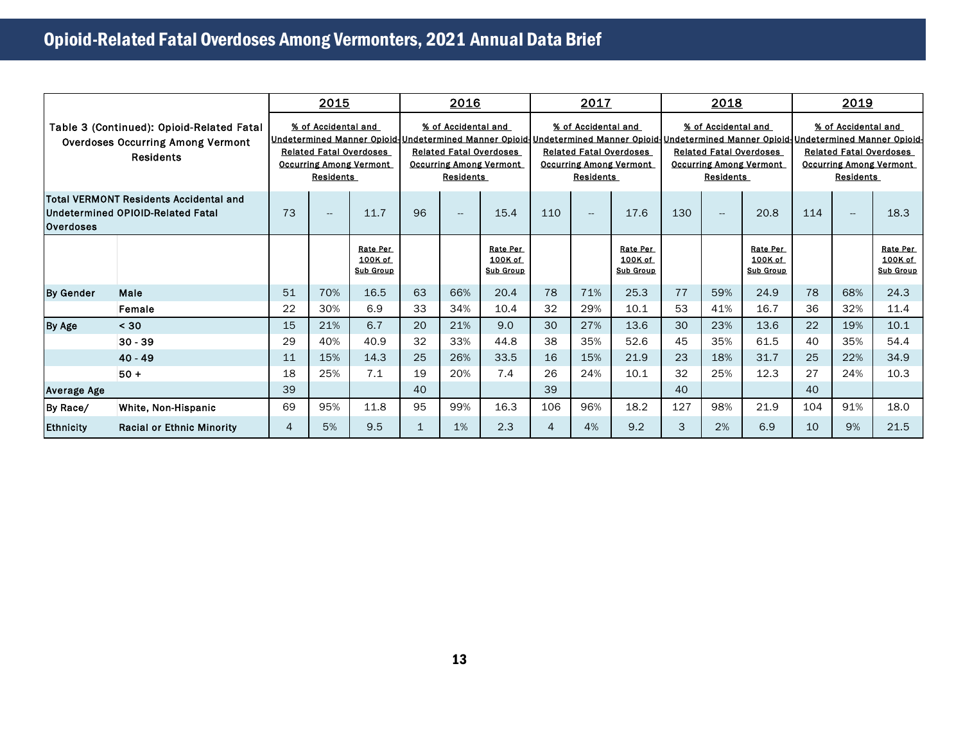|                                                                                                           |                                                                                    |                                                                                                             |                          | 2015                                    | 2016                                                                                                                                                                                                                                                  |                          |                                         | 2017                                                                                                        |                          |                                         | 2018                                                                                                        |                                    |                                         | 2019                                                                                                        |     |                                         |
|-----------------------------------------------------------------------------------------------------------|------------------------------------------------------------------------------------|-------------------------------------------------------------------------------------------------------------|--------------------------|-----------------------------------------|-------------------------------------------------------------------------------------------------------------------------------------------------------------------------------------------------------------------------------------------------------|--------------------------|-----------------------------------------|-------------------------------------------------------------------------------------------------------------|--------------------------|-----------------------------------------|-------------------------------------------------------------------------------------------------------------|------------------------------------|-----------------------------------------|-------------------------------------------------------------------------------------------------------------|-----|-----------------------------------------|
| Table 3 (Continued): Opioid-Related Fatal<br><b>Overdoses Occurring Among Vermont</b><br><b>Residents</b> |                                                                                    | % of Accidental and<br><b>Related Fatal Overdoses</b><br><b>Occurring Among Vermont</b><br><b>Residents</b> |                          |                                         | % of Accidental and<br>Undetermined Manner Opioid Undetermined Manner Opioid Undetermined Manner Opioid Undetermined Manner Opioid Undetermined Manner Opioid<br><b>Related Fatal Overdoses</b><br><b>Occurring Among Vermont</b><br><b>Residents</b> |                          |                                         | % of Accidental and<br><b>Related Fatal Overdoses</b><br><b>Occurring Among Vermont</b><br><b>Residents</b> |                          |                                         | % of Accidental and<br><b>Related Fatal Overdoses</b><br><b>Occurring Among Vermont</b><br><b>Residents</b> |                                    |                                         | % of Accidental and<br><b>Related Fatal Overdoses</b><br><b>Occurring Among Vermont</b><br><b>Residents</b> |     |                                         |
| <b>Overdoses</b>                                                                                          | <b>Total VERMONT Residents Accidental and</b><br>Undetermined OPIOID-Related Fatal | 73                                                                                                          | $\overline{\phantom{a}}$ | 11.7                                    | 96                                                                                                                                                                                                                                                    | $\overline{\phantom{a}}$ | 15.4                                    | 110                                                                                                         | $\overline{\phantom{a}}$ | 17.6                                    | 130                                                                                                         | $\hspace{0.05cm} -\hspace{0.05cm}$ | 20.8                                    | 114                                                                                                         | щ.  | 18.3                                    |
|                                                                                                           |                                                                                    |                                                                                                             |                          | Rate Per<br>100K of<br><b>Sub Group</b> |                                                                                                                                                                                                                                                       |                          | Rate Per<br>100K of<br><b>Sub Group</b> |                                                                                                             |                          | Rate Per<br>100K of<br><b>Sub Group</b> |                                                                                                             |                                    | Rate Per<br>100K of<br><b>Sub Group</b> |                                                                                                             |     | Rate Per<br>100K of<br><b>Sub Group</b> |
| <b>By Gender</b>                                                                                          | Male                                                                               | 51                                                                                                          | 70%                      | 16.5                                    | 63                                                                                                                                                                                                                                                    | 66%                      | 20.4                                    | 78                                                                                                          | 71%                      | 25.3                                    | 77                                                                                                          | 59%                                | 24.9                                    | 78                                                                                                          | 68% | 24.3                                    |
|                                                                                                           | Female                                                                             | 22                                                                                                          | 30%                      | 6.9                                     | 33                                                                                                                                                                                                                                                    | 34%                      | 10.4                                    | 32                                                                                                          | 29%                      | 10.1                                    | 53                                                                                                          | 41%                                | 16.7                                    | 36                                                                                                          | 32% | 11.4                                    |
| By Age                                                                                                    | < 30                                                                               | 15                                                                                                          | 21%                      | 6.7                                     | 20                                                                                                                                                                                                                                                    | 21%                      | 9.0                                     | 30                                                                                                          | 27%                      | 13.6                                    | 30                                                                                                          | 23%                                | 13.6                                    | 22                                                                                                          | 19% | 10.1                                    |
|                                                                                                           | $30 - 39$                                                                          | 29                                                                                                          | 40%                      | 40.9                                    | 32                                                                                                                                                                                                                                                    | 33%                      | 44.8                                    | 38                                                                                                          | 35%                      | 52.6                                    | 45                                                                                                          | 35%                                | 61.5                                    | 40                                                                                                          | 35% | 54.4                                    |
|                                                                                                           | $40 - 49$                                                                          | 11                                                                                                          | 15%                      | 14.3                                    | 25                                                                                                                                                                                                                                                    | 26%                      | 33.5                                    | 16                                                                                                          | 15%                      | 21.9                                    | 23                                                                                                          | 18%                                | 31.7                                    | 25                                                                                                          | 22% | 34.9                                    |
|                                                                                                           | $50 +$                                                                             | 18                                                                                                          | 25%                      | 7.1                                     | 19                                                                                                                                                                                                                                                    | 20%                      | 7.4                                     | 26                                                                                                          | 24%                      | 10.1                                    | 32                                                                                                          | 25%                                | 12.3                                    | 27                                                                                                          | 24% | 10.3                                    |
| <b>Average Age</b>                                                                                        |                                                                                    | 39                                                                                                          |                          |                                         | 40                                                                                                                                                                                                                                                    |                          |                                         | 39                                                                                                          |                          |                                         | 40                                                                                                          |                                    |                                         | 40                                                                                                          |     |                                         |
| By Race/                                                                                                  | White, Non-Hispanic                                                                | 69                                                                                                          | 95%                      | 11.8                                    | 95                                                                                                                                                                                                                                                    | 99%                      | 16.3                                    | 106                                                                                                         | 96%                      | 18.2                                    | 127                                                                                                         | 98%                                | 21.9                                    | 104                                                                                                         | 91% | 18.0                                    |
| <b>Ethnicity</b>                                                                                          | <b>Racial or Ethnic Minority</b>                                                   | 4                                                                                                           | 5%                       | 9.5                                     | $\mathbf 1$                                                                                                                                                                                                                                           | 1%                       | 2.3                                     | $\overline{4}$                                                                                              | 4%                       | 9.2                                     | 3                                                                                                           | 2%                                 | 6.9                                     | 10                                                                                                          | 9%  | 21.5                                    |
|                                                                                                           |                                                                                    |                                                                                                             |                          |                                         |                                                                                                                                                                                                                                                       |                          |                                         |                                                                                                             |                          |                                         |                                                                                                             |                                    |                                         |                                                                                                             |     |                                         |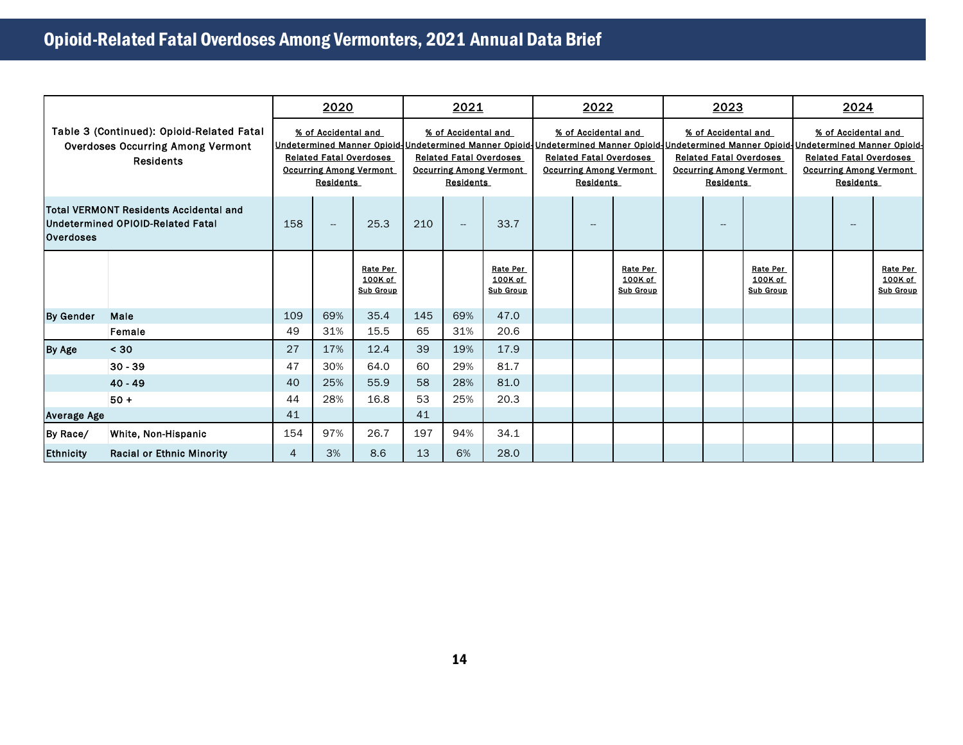|                                                                                                           |                                  |     | 2020                                                                                                        |                                         |                                                                                                             | 2021                     |                                         |                                                                                                             | 2022 |                                         |                                                                                                                                                                                                                                                               | 2023                     |                                         |                                                                                                             | 2024 |                                         |  |  |
|-----------------------------------------------------------------------------------------------------------|----------------------------------|-----|-------------------------------------------------------------------------------------------------------------|-----------------------------------------|-------------------------------------------------------------------------------------------------------------|--------------------------|-----------------------------------------|-------------------------------------------------------------------------------------------------------------|------|-----------------------------------------|---------------------------------------------------------------------------------------------------------------------------------------------------------------------------------------------------------------------------------------------------------------|--------------------------|-----------------------------------------|-------------------------------------------------------------------------------------------------------------|------|-----------------------------------------|--|--|
| Table 3 (Continued): Opioid-Related Fatal<br><b>Overdoses Occurring Among Vermont</b><br><b>Residents</b> |                                  |     | % of Accidental and<br><b>Related Fatal Overdoses</b><br><b>Occurring Among Vermont</b><br><b>Residents</b> |                                         | % of Accidental and<br><b>Related Fatal Overdoses</b><br><b>Occurring Among Vermont</b><br><b>Residents</b> |                          |                                         | % of Accidental and<br><b>Related Fatal Overdoses</b><br><b>Occurring Among Vermont</b><br><b>Residents</b> |      |                                         | % of Accidental and<br><u>Undetermined Manner Opioid-Undetermined Manner Opioid-Undetermined Manner Opioid-Undetermined Manner Opioid-Undetermined Manner Opioid-</u><br><b>Related Fatal Overdoses</b><br><b>Occurring Among Vermont</b><br><b>Residents</b> |                          |                                         | % of Accidental and<br><b>Related Fatal Overdoses</b><br><b>Occurring Among Vermont</b><br><b>Residents</b> |      |                                         |  |  |
| Total VERMONT Residents Accidental and<br>Undetermined OPIOID-Related Fatal<br><b>Overdoses</b>           |                                  | 158 | $\overline{\phantom{a}}$                                                                                    | 25.3                                    | 210                                                                                                         | $\overline{\phantom{a}}$ | 33.7                                    |                                                                                                             | -    |                                         |                                                                                                                                                                                                                                                               | $\overline{\phantom{a}}$ |                                         |                                                                                                             | $-$  |                                         |  |  |
|                                                                                                           |                                  |     |                                                                                                             | Rate Per<br>100K of<br><b>Sub Group</b> |                                                                                                             |                          | Rate Per<br>100K of<br><b>Sub Group</b> |                                                                                                             |      | Rate Per<br>100K of<br><b>Sub Group</b> |                                                                                                                                                                                                                                                               |                          | Rate Per<br>100K of<br><b>Sub Group</b> |                                                                                                             |      | Rate Per<br>100K of<br><b>Sub Group</b> |  |  |
| <b>By Gender</b>                                                                                          | Male                             | 109 | 69%                                                                                                         | 35.4                                    | 145                                                                                                         | 69%                      | 47.0                                    |                                                                                                             |      |                                         |                                                                                                                                                                                                                                                               |                          |                                         |                                                                                                             |      |                                         |  |  |
|                                                                                                           | Female                           | 49  | 31%                                                                                                         | 15.5                                    | 65                                                                                                          | 31%                      | 20.6                                    |                                                                                                             |      |                                         |                                                                                                                                                                                                                                                               |                          |                                         |                                                                                                             |      |                                         |  |  |
| By Age                                                                                                    | < 30                             | 27  | 17%                                                                                                         | 12.4                                    | 39                                                                                                          | 19%                      | 17.9                                    |                                                                                                             |      |                                         |                                                                                                                                                                                                                                                               |                          |                                         |                                                                                                             |      |                                         |  |  |
|                                                                                                           | $30 - 39$                        | 47  | 30%                                                                                                         | 64.0                                    | 60                                                                                                          | 29%                      | 81.7                                    |                                                                                                             |      |                                         |                                                                                                                                                                                                                                                               |                          |                                         |                                                                                                             |      |                                         |  |  |
|                                                                                                           | $40 - 49$                        | 40  | 25%                                                                                                         | 55.9                                    | 58                                                                                                          | 28%                      | 81.0                                    |                                                                                                             |      |                                         |                                                                                                                                                                                                                                                               |                          |                                         |                                                                                                             |      |                                         |  |  |
|                                                                                                           | $50+$                            | 44  | 28%                                                                                                         | 16.8                                    | 53                                                                                                          | 25%                      | 20.3                                    |                                                                                                             |      |                                         |                                                                                                                                                                                                                                                               |                          |                                         |                                                                                                             |      |                                         |  |  |
| <b>Average Age</b>                                                                                        |                                  | 41  |                                                                                                             |                                         | 41                                                                                                          |                          |                                         |                                                                                                             |      |                                         |                                                                                                                                                                                                                                                               |                          |                                         |                                                                                                             |      |                                         |  |  |
| By Race/                                                                                                  | White, Non-Hispanic              | 154 | 97%                                                                                                         | 26.7                                    | 197                                                                                                         | 94%                      | 34.1                                    |                                                                                                             |      |                                         |                                                                                                                                                                                                                                                               |                          |                                         |                                                                                                             |      |                                         |  |  |
| <b>Ethnicity</b>                                                                                          | <b>Racial or Ethnic Minority</b> | 4   | 3%                                                                                                          | 8.6                                     | 13                                                                                                          | 6%                       | 28.0                                    |                                                                                                             |      |                                         |                                                                                                                                                                                                                                                               |                          |                                         |                                                                                                             |      |                                         |  |  |
|                                                                                                           |                                  |     |                                                                                                             |                                         |                                                                                                             |                          |                                         |                                                                                                             |      |                                         |                                                                                                                                                                                                                                                               |                          |                                         |                                                                                                             |      |                                         |  |  |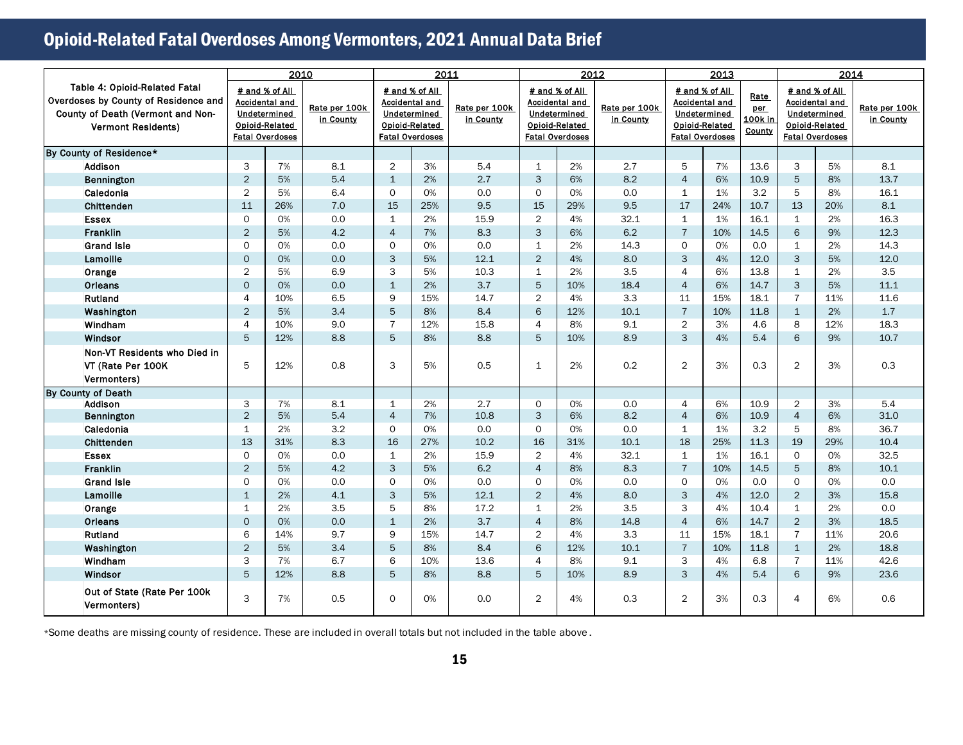|                                                                                                                                                | 2010                                                                                                |          | 2011                       |                                                                                                     |          |                            | 2012                             |                                                                                  | 2013                       |                                |                                                                                                            | 2014                             |                   |                                                                                                     |                            |
|------------------------------------------------------------------------------------------------------------------------------------------------|-----------------------------------------------------------------------------------------------------|----------|----------------------------|-----------------------------------------------------------------------------------------------------|----------|----------------------------|----------------------------------|----------------------------------------------------------------------------------|----------------------------|--------------------------------|------------------------------------------------------------------------------------------------------------|----------------------------------|-------------------|-----------------------------------------------------------------------------------------------------|----------------------------|
| <b>Table 4: Opioid-Related Fatal</b><br>Overdoses by County of Residence and<br>County of Death (Vermont and Non-<br><b>Vermont Residents)</b> | # and % of All<br><b>Accidental and</b><br>Undetermined<br>Opioid-Related<br><b>Fatal Overdoses</b> |          | Rate per 100k<br>in County | # and % of All<br><b>Accidental and</b><br>Undetermined<br>Opioid-Related<br><b>Fatal Overdoses</b> |          | Rate per 100k<br>in County | <b>Fatal Overdoses</b>           | # and % of All<br><b>Accidental and</b><br>Undetermined<br><b>Opioid-Related</b> | Rate per 100k<br>in County |                                | # and % of All<br><b>Accidental and</b><br>Undetermined<br><b>Opioid-Related</b><br><b>Fatal Overdoses</b> | Rate<br>per<br>100k in<br>County |                   | # and % of All<br><b>Accidental and</b><br>Undetermined<br>Opioid-Related<br><b>Fatal Overdoses</b> | Rate per 100k<br>in County |
| By County of Residence*                                                                                                                        |                                                                                                     |          |                            |                                                                                                     |          |                            |                                  |                                                                                  |                            |                                |                                                                                                            |                                  |                   |                                                                                                     |                            |
| Addison                                                                                                                                        | 3                                                                                                   | 7%       | 8.1                        | $\overline{2}$                                                                                      | 3%       | 5.4                        | 1                                | 2%                                                                               | 2.7                        | 5                              | 7%                                                                                                         | 13.6                             | 3                 | 5%                                                                                                  | 8.1                        |
| Bennington                                                                                                                                     | $\overline{2}$                                                                                      | 5%       | 5.4                        | $\mathbf{1}$                                                                                        | 2%       | 2.7                        | 3                                | 6%                                                                               | 8.2                        | $\overline{4}$                 | 6%                                                                                                         | 10.9                             | 5                 | 8%                                                                                                  | 13.7                       |
| Caledonia                                                                                                                                      | $\overline{2}$                                                                                      | 5%       | 6.4                        | $\Omega$                                                                                            | 0%       | 0.0                        | $\Omega$                         | 0%                                                                               | 0.0                        | $\mathbf{1}$                   | 1%                                                                                                         | 3.2                              | 5                 | 8%                                                                                                  | 16.1                       |
| Chittenden                                                                                                                                     | 11                                                                                                  | 26%      | 7.0                        | 15                                                                                                  | 25%      | 9.5                        | 15                               | 29%                                                                              | 9.5                        | 17                             | 24%                                                                                                        | 10.7                             | 13                | 20%                                                                                                 | 8.1                        |
| <b>Essex</b>                                                                                                                                   | $\Omega$                                                                                            | 0%       | 0.0                        | $\mathbf{1}$                                                                                        | 2%       | 15.9                       | $\overline{2}$                   | 4%                                                                               | 32.1                       | $\mathbf{1}$                   | 1%                                                                                                         | 16.1                             | $\mathbf{1}$      | 2%                                                                                                  | 16.3                       |
| <b>Franklin</b>                                                                                                                                | $\overline{2}$                                                                                      | 5%       | 4.2                        | $\overline{4}$                                                                                      | 7%       | 8.3                        | 3                                | 6%                                                                               | 6.2                        | $\overline{7}$                 | 10%                                                                                                        | 14.5                             | 6                 | 9%                                                                                                  | 12.3                       |
| <b>Grand Isle</b>                                                                                                                              | $\Omega$                                                                                            | 0%       | 0.0                        | $\circ$                                                                                             | 0%       | 0.0                        | $\mathbf{1}$                     | 2%                                                                               | 14.3                       | $\mathsf{O}$                   | 0%                                                                                                         | 0.0                              | $\mathbf{1}$      | 2%                                                                                                  | 14.3                       |
| Lamoille                                                                                                                                       | $\mathbf{O}$                                                                                        | 0%       | 0.0                        | 3                                                                                                   | 5%       | 12.1                       | $\overline{2}$                   | 4%                                                                               | 8.0                        | 3                              | 4%                                                                                                         | 12.0                             | 3                 | 5%                                                                                                  | 12.0                       |
| Orange                                                                                                                                         | $\overline{2}$                                                                                      | 5%       | 6.9                        | 3                                                                                                   | 5%       | 10.3                       | $\mathbf{1}$                     | 2%                                                                               | 3.5                        | 4                              | 6%                                                                                                         | 13.8                             | $\mathbf{1}$      | 2%                                                                                                  | 3.5                        |
| Orleans                                                                                                                                        | $\Omega$                                                                                            | 0%       | 0.0                        | $\mathbf{1}$                                                                                        | 2%       | 3.7                        | 5                                | 10%                                                                              | 18.4                       | $\overline{4}$                 | 6%                                                                                                         | 14.7                             | 3                 | 5%                                                                                                  | 11.1                       |
| Rutland                                                                                                                                        | $\overline{4}$                                                                                      | 10%      | 6.5                        | 9                                                                                                   | 15%      | 14.7                       | $\overline{2}$                   | 4%                                                                               | 3.3                        | 11                             | 15%                                                                                                        | 18.1                             | $\overline{7}$    | 11%                                                                                                 | 11.6                       |
| Washington                                                                                                                                     | $\overline{2}$                                                                                      | 5%       | 3.4                        | 5                                                                                                   | 8%       | 8.4                        | 6                                | 12%                                                                              | 10.1                       | $\overline{7}$                 | 10%                                                                                                        | 11.8                             | $\mathbf{1}$      | 2%                                                                                                  | 1.7                        |
| Windham                                                                                                                                        | $\overline{A}$                                                                                      | 10%      | 9.0                        | $\overline{7}$                                                                                      | 12%      | 15.8                       | 4                                | 8%                                                                               | 9.1                        | $\overline{2}$                 | 3%                                                                                                         | 4.6                              | 8                 | 12%                                                                                                 | 18.3                       |
| Windsor                                                                                                                                        | 5                                                                                                   | 12%      | 8.8                        | 5                                                                                                   | 8%       | 8.8                        | 5                                | 10%                                                                              | 8.9                        | 3                              | 4%                                                                                                         | 5.4                              | 6                 | 9%                                                                                                  | 10.7                       |
| Non-VT Residents who Died in<br>VT (Rate Per 100K)<br>Vermonters)                                                                              | 5                                                                                                   | 12%      | 0.8                        | 3                                                                                                   | 5%       | 0.5                        | $\mathbf{1}$                     | 2%                                                                               | 0.2                        | $\overline{2}$                 | 3%                                                                                                         | 0.3                              | $\overline{2}$    | 3%                                                                                                  | 0.3                        |
| By County of Death                                                                                                                             |                                                                                                     |          |                            |                                                                                                     |          |                            |                                  |                                                                                  |                            |                                |                                                                                                            |                                  |                   |                                                                                                     |                            |
| Addison                                                                                                                                        | 3                                                                                                   | 7%       | 8.1                        | $\mathbf{1}$                                                                                        | 2%       | 2.7                        | $\Omega$                         | 0%                                                                               | 0.0                        | 4                              | 6%                                                                                                         | 10.9                             | $\overline{2}$    | 3%                                                                                                  | 5.4                        |
| Bennington                                                                                                                                     | $\overline{2}$                                                                                      | 5%       | 5.4                        | $\overline{4}$                                                                                      | 7%       | 10.8                       | 3                                | 6%                                                                               | 8.2                        | $\overline{4}$                 | 6%                                                                                                         | 10.9                             | $\overline{4}$    | 6%                                                                                                  | 31.0                       |
| Caledonia                                                                                                                                      | $\mathbf 1$                                                                                         | 2%       | 3.2                        | $\Omega$                                                                                            | 0%       | 0.0                        | $\mathsf{O}$                     | 0%                                                                               | 0.0                        | $\mathbf{1}$                   | 1%                                                                                                         | 3.2                              | 5                 | 8%                                                                                                  | 36.7                       |
| Chittenden                                                                                                                                     | 13<br>$\Omega$                                                                                      | 31%      | 8.3                        | 16                                                                                                  | 27%      | 10.2                       | 16                               | 31%                                                                              | 10.1                       | 18                             | 25%                                                                                                        | 11.3                             | 19                | 29%                                                                                                 | 10.4                       |
| <b>Essex</b><br>Franklin                                                                                                                       | $\overline{2}$                                                                                      | 0%<br>5% | 0.0<br>4.2                 | $\mathbf{1}$<br>3                                                                                   | 2%<br>5% | 15.9<br>6.2                | $\overline{2}$<br>$\overline{4}$ | 4%<br>8%                                                                         | 32.1<br>8.3                | $\mathbf{1}$<br>$\overline{7}$ | 1%<br>10%                                                                                                  | 16.1<br>14.5                     | $\mathsf{O}$<br>5 | 0%<br>8%                                                                                            | 32.5<br>10.1               |
| <b>Grand Isle</b>                                                                                                                              | $\Omega$                                                                                            | O%       | 0.0                        | $\Omega$                                                                                            | 0%       | 0.0                        | $\Omega$                         | 0%                                                                               | 0.0                        | $\mathsf{O}$                   | 0%                                                                                                         | 0.0                              | $\Omega$          | O%                                                                                                  | 0.0                        |
| Lamoille                                                                                                                                       | $\mathbf{1}$                                                                                        | 2%       | 4.1                        | 3                                                                                                   | 5%       | 12.1                       | $\overline{2}$                   | 4%                                                                               | 8.0                        | 3                              | 4%                                                                                                         | 12.0                             | $\overline{2}$    | 3%                                                                                                  | 15.8                       |
| Orange                                                                                                                                         | $\mathbf{1}$                                                                                        | 2%       | 3.5                        | 5                                                                                                   | 8%       | 17.2                       | $\mathbf{1}$                     | 2%                                                                               | 3.5                        | 3                              | 4%                                                                                                         | 10.4                             | $\mathbf{1}$      | 2%                                                                                                  | 0.0                        |
| Orleans                                                                                                                                        | $\mathbf 0$                                                                                         | 0%       | 0.0                        | $\mathbf{1}$                                                                                        | 2%       | 3.7                        | $\overline{4}$                   | 8%                                                                               | 14.8                       | $\overline{4}$                 | 6%                                                                                                         | 14.7                             | $\overline{2}$    | 3%                                                                                                  | 18.5                       |
| Rutland                                                                                                                                        | 6                                                                                                   | 14%      | 9.7                        | 9                                                                                                   | 15%      | 14.7                       | $\overline{2}$                   | 4%                                                                               | 3.3                        | 11                             | 15%                                                                                                        | 18.1                             | $\overline{7}$    | 11%                                                                                                 | 20.6                       |
| Washington                                                                                                                                     | $\overline{2}$                                                                                      | 5%       | 3.4                        | 5                                                                                                   | 8%       | 8.4                        | 6                                | 12%                                                                              | 10.1                       | $\overline{7}$                 | 10%                                                                                                        | 11.8                             | $\mathbf{1}$      | 2%                                                                                                  | 18.8                       |
| Windham                                                                                                                                        | 3                                                                                                   | 7%       | 6.7                        | 6                                                                                                   | 10%      | 13.6                       | 4                                | 8%                                                                               | 9.1                        | 3                              | 4%                                                                                                         | 6.8                              | $\overline{7}$    | 11%                                                                                                 | 42.6                       |
| Windsor                                                                                                                                        | 5                                                                                                   | 12%      | 8.8                        | 5                                                                                                   | 8%       | 8.8                        | 5                                | 10%                                                                              | 8.9                        | 3                              | 4%                                                                                                         | 5.4                              | 6                 | 9%                                                                                                  | 23.6                       |
| Out of State (Rate Per 100k<br>Vermonters)                                                                                                     | 3                                                                                                   | 7%       | 0.5                        | $\Omega$                                                                                            | 0%       | 0.0                        | $\overline{2}$                   | 4%                                                                               | 0.3                        | $\overline{2}$                 | 3%                                                                                                         | 0.3                              | 4                 | 6%                                                                                                  | 0.6                        |

\*Some deaths are missing county of residence. These are included in overall totals but not included in the table above .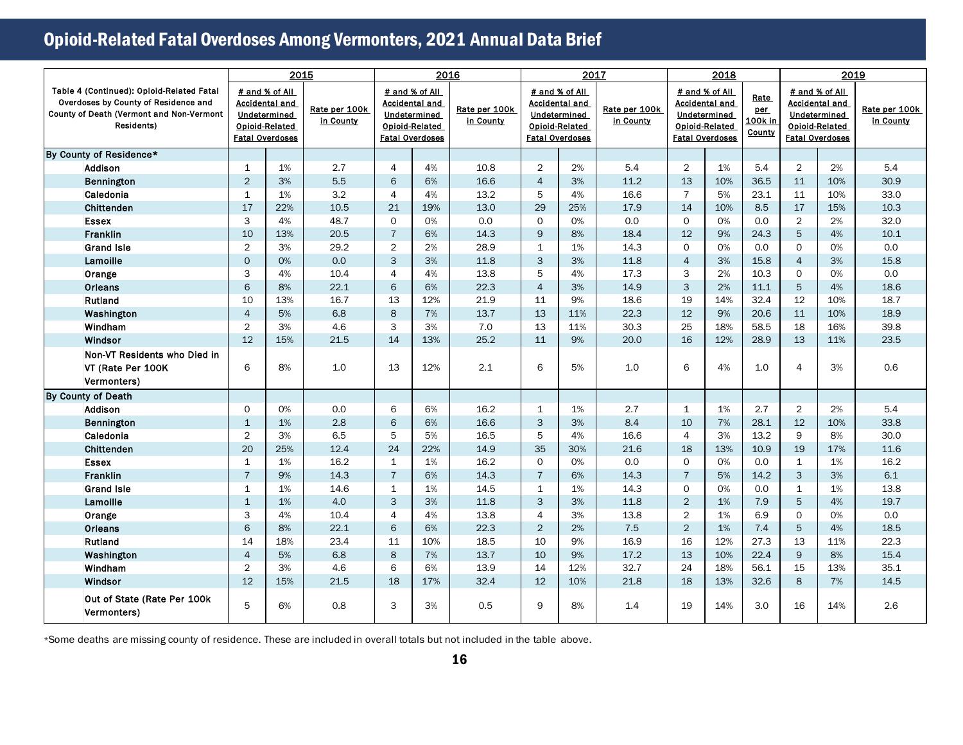|                                                                                                                                                     |                                                          | 2015                                    |                            |                | 2016                                                                                                       |                            |                | 2017                                                                                                       |                            |                | 2018                                                                                                       |                                  |                | 2019                                                                                                |                            |
|-----------------------------------------------------------------------------------------------------------------------------------------------------|----------------------------------------------------------|-----------------------------------------|----------------------------|----------------|------------------------------------------------------------------------------------------------------------|----------------------------|----------------|------------------------------------------------------------------------------------------------------------|----------------------------|----------------|------------------------------------------------------------------------------------------------------------|----------------------------------|----------------|-----------------------------------------------------------------------------------------------------|----------------------------|
| Table 4 (Continued): Opioid-Related Fatal<br>Overdoses by County of Residence and<br><b>County of Death (Vermont and Non-Vermont)</b><br>Residents) | Undetermined<br>Opioid-Related<br><b>Fatal Overdoses</b> | # and % of All<br><b>Accidental and</b> | Rate per 100k<br>in County |                | # and % of All<br><b>Accidental and</b><br>Undetermined<br><b>Opioid-Related</b><br><b>Fatal Overdoses</b> | Rate per 100k<br>in County |                | # and % of All<br><b>Accidental and</b><br><b>Undetermined</b><br>Opioid-Related<br><b>Fatal Overdoses</b> | Rate per 100k<br>in County |                | # and % of All<br><b>Accidental and</b><br><b>Undetermined</b><br>Opioid-Related<br><b>Fatal Overdoses</b> | Rate<br>per<br>100k in<br>County |                | # and % of All<br><b>Accidental and</b><br>Undetermined<br>Opioid-Related<br><b>Fatal Overdoses</b> | Rate per 100k<br>in County |
| By County of Residence*                                                                                                                             |                                                          |                                         |                            |                |                                                                                                            |                            |                |                                                                                                            |                            |                |                                                                                                            |                                  |                |                                                                                                     |                            |
| <b>Addison</b>                                                                                                                                      | $\mathbf{1}$                                             | 1%                                      | 2.7                        | $\overline{4}$ | 4%                                                                                                         | 10.8                       | $\overline{2}$ | 2%                                                                                                         | 5.4                        | $\overline{2}$ | 1%                                                                                                         | 5.4                              | $\overline{2}$ | 2%                                                                                                  | 5.4                        |
| Bennington                                                                                                                                          | $\overline{2}$                                           | 3%                                      | 5.5                        | 6              | 6%                                                                                                         | 16.6                       | $\overline{4}$ | 3%                                                                                                         | 11.2                       | 13             | 10%                                                                                                        | 36.5                             | 11             | 10%                                                                                                 | 30.9                       |
| Caledonia                                                                                                                                           | $\mathbf{1}$                                             | 1%                                      | 3.2                        | $\overline{4}$ | 4%                                                                                                         | 13.2                       | 5              | 4%                                                                                                         | 16.6                       | $\overline{7}$ | 5%                                                                                                         | 23.1                             | 11             | 10%                                                                                                 | 33.0                       |
| Chittenden                                                                                                                                          | 17                                                       | 22%                                     | 10.5                       | 21             | 19%                                                                                                        | 13.0                       | 29             | 25%                                                                                                        | 17.9                       | 14             | 10%                                                                                                        | 8.5                              | 17             | 15%                                                                                                 | 10.3                       |
| <b>Essex</b>                                                                                                                                        | 3                                                        | 4%                                      | 48.7                       | $\Omega$       | 0%                                                                                                         | 0.0                        | $\Omega$       | 0%                                                                                                         | 0.0                        | $\mathsf{O}$   | O%                                                                                                         | 0.0                              | $\overline{2}$ | 2%                                                                                                  | 32.0                       |
| Franklin                                                                                                                                            | 10                                                       | 13%                                     | 20.5                       | $\overline{7}$ | 6%                                                                                                         | 14.3                       | 9              | 8%                                                                                                         | 18.4                       | 12             | 9%                                                                                                         | 24.3                             | 5              | 4%                                                                                                  | 10.1                       |
| <b>Grand Isle</b>                                                                                                                                   | $\overline{2}$                                           | 3%                                      | 29.2                       | $\overline{2}$ | 2%                                                                                                         | 28.9                       | $\mathbf{1}$   | 1%                                                                                                         | 14.3                       | $\mathsf{O}$   | 0%                                                                                                         | 0.0                              | $\Omega$       | 0%                                                                                                  | 0.0                        |
| Lamoille                                                                                                                                            | $\mathbf 0$                                              | 0%                                      | 0.0                        | 3              | 3%                                                                                                         | 11.8                       | 3              | 3%                                                                                                         | 11.8                       | $\overline{4}$ | 3%                                                                                                         | 15.8                             | $\overline{4}$ | 3%                                                                                                  | 15.8                       |
| Orange                                                                                                                                              | 3                                                        | 4%                                      | 10.4                       | $\overline{4}$ | 4%                                                                                                         | 13.8                       | 5              | 4%                                                                                                         | 17.3                       | 3              | 2%                                                                                                         | 10.3                             | $\Omega$       | 0%                                                                                                  | 0.0                        |
| Orleans                                                                                                                                             | 6                                                        | 8%                                      | 22.1                       | 6              | 6%                                                                                                         | 22.3                       | $\overline{4}$ | 3%                                                                                                         | 14.9                       | 3              | 2%                                                                                                         | 11.1                             | 5              | 4%                                                                                                  | 18.6                       |
| Rutland                                                                                                                                             | 10                                                       | 13%                                     | 16.7                       | 13             | 12%                                                                                                        | 21.9                       | 11             | 9%                                                                                                         | 18.6                       | 19             | 14%                                                                                                        | 32.4                             | 12             | 10%                                                                                                 | 18.7                       |
| Washington                                                                                                                                          | $\overline{4}$                                           | 5%                                      | 6.8                        | 8              | 7%                                                                                                         | 13.7                       | 13             | 11%                                                                                                        | 22.3                       | 12             | 9%                                                                                                         | 20.6                             | 11             | 10%                                                                                                 | 18.9                       |
| Windham                                                                                                                                             | $\overline{2}$                                           | 3%                                      | 4.6                        | 3              | 3%                                                                                                         | 7.0                        | 13             | 11%                                                                                                        | 30.3                       | 25             | 18%                                                                                                        | 58.5                             | 18             | 16%                                                                                                 | 39.8                       |
| Windsor                                                                                                                                             | 12                                                       | 15%                                     | 21.5                       | 14             | 13%                                                                                                        | 25.2                       | $11\,$         | 9%                                                                                                         | 20.0                       | 16             | 12%                                                                                                        | 28.9                             | 13             | 11%                                                                                                 | 23.5                       |
| Non-VT Residents who Died in<br>VT (Rate Per 100K<br>Vermonters)                                                                                    | 6                                                        | 8%                                      | 1.0                        | 13             | 12%                                                                                                        | 2.1                        | 6              | 5%                                                                                                         | 1.0                        | 6              | 4%                                                                                                         | 1.0                              | $\overline{4}$ | 3%                                                                                                  | 0.6                        |
| By County of Death                                                                                                                                  |                                                          |                                         |                            |                |                                                                                                            |                            |                |                                                                                                            |                            |                |                                                                                                            |                                  |                |                                                                                                     |                            |
| Addison                                                                                                                                             | $\Omega$                                                 | 0%                                      | 0.0                        | 6              | 6%                                                                                                         | 16.2                       | $\mathbf{1}$   | 1%                                                                                                         | 2.7                        | $\mathbf{1}$   | 1%                                                                                                         | 2.7                              | 2              | 2%                                                                                                  | 5.4                        |
| Bennington                                                                                                                                          | $\mathbf{1}$                                             | 1%                                      | 2.8                        | 6              | 6%                                                                                                         | 16.6                       | 3              | 3%                                                                                                         | 8.4                        | 10             | 7%                                                                                                         | 28.1                             | 12             | 10%                                                                                                 | 33.8                       |
| Caledonia                                                                                                                                           | $\overline{2}$                                           | 3%                                      | 6.5                        | 5              | 5%                                                                                                         | 16.5                       | 5              | 4%                                                                                                         | 16.6                       | 4              | 3%                                                                                                         | 13.2                             | 9              | 8%                                                                                                  | 30.0                       |
| Chittenden                                                                                                                                          | 20                                                       | 25%                                     | 12.4                       | 24             | 22%                                                                                                        | 14.9                       | 35             | 30%                                                                                                        | 21.6                       | 18             | 13%                                                                                                        | 10.9                             | 19             | 17%                                                                                                 | 11.6                       |
| <b>Essex</b>                                                                                                                                        | $\mathbf{1}$                                             | 1%                                      | 16.2                       | $\mathbf{1}$   | 1%                                                                                                         | 16.2                       | $\Omega$       | 0%                                                                                                         | 0.0                        | $\mathsf{O}$   | 0%                                                                                                         | 0.0                              | $\mathbf{1}$   | 1%                                                                                                  | 16.2                       |
| <b>Franklin</b>                                                                                                                                     | $\overline{7}$                                           | 9%                                      | 14.3                       | $\overline{7}$ | 6%                                                                                                         | 14.3                       | $\overline{7}$ | 6%                                                                                                         | 14.3                       | $\overline{7}$ | 5%                                                                                                         | 14.2                             | 3              | 3%                                                                                                  | 6.1                        |
| <b>Grand Isle</b>                                                                                                                                   | $\mathbf{1}$                                             | 1%                                      | 14.6                       | $\mathbf{1}$   | 1%                                                                                                         | 14.5                       | $\mathbf{1}$   | 1%                                                                                                         | 14.3                       | $\mathsf{O}$   | 0%                                                                                                         | 0.0                              | $\mathbf{1}$   | 1%                                                                                                  | 13.8                       |
| Lamoille                                                                                                                                            | $\mathbf{1}$                                             | 1%                                      | 4.0                        | 3              | 3%                                                                                                         | 11.8                       | 3              | 3%                                                                                                         | 11.8                       | 2              | 1%                                                                                                         | 7.9                              | 5              | 4%                                                                                                  | 19.7                       |
| Orange                                                                                                                                              | 3                                                        | 4%                                      | 10.4                       | $\overline{4}$ | 4%                                                                                                         | 13.8                       | 4              | 3%                                                                                                         | 13.8                       | $\overline{2}$ | 1%                                                                                                         | 6.9                              | $\mathsf{O}$   | 0%                                                                                                  | 0.0                        |
| Orleans                                                                                                                                             | 6                                                        | 8%                                      | 22.1                       | 6              | 6%                                                                                                         | 22.3                       | $\overline{2}$ | 2%                                                                                                         | 7.5                        | 2              | 1%                                                                                                         | 7.4                              | 5              | 4%                                                                                                  | 18.5                       |
| Rutland                                                                                                                                             | 14                                                       | 18%                                     | 23.4                       | 11             | 10%                                                                                                        | 18.5                       | 10             | 9%                                                                                                         | 16.9                       | 16             | 12%                                                                                                        | 27.3                             | 13             | 11%                                                                                                 | 22.3                       |
| Washington                                                                                                                                          | $\overline{4}$                                           | 5%                                      | 6.8                        | 8              | 7%                                                                                                         | 13.7                       | 10             | 9%                                                                                                         | 17.2                       | 13             | 10%                                                                                                        | 22.4                             | 9              | 8%                                                                                                  | 15.4                       |
| Windham                                                                                                                                             | $\overline{2}$                                           | 3%                                      | 4.6                        | 6              | 6%                                                                                                         | 13.9                       | 14             | 12%                                                                                                        | 32.7                       | 24             | 18%                                                                                                        | 56.1                             | 15             | 13%                                                                                                 | 35.1                       |
| Windsor                                                                                                                                             | 12                                                       | 15%                                     | 21.5                       | 18             | 17%                                                                                                        | 32.4                       | 12             | 10%                                                                                                        | 21.8                       | 18             | 13%                                                                                                        | 32.6                             | 8              | 7%                                                                                                  | 14.5                       |
| Out of State (Rate Per 100k<br>Vermonters)                                                                                                          | 5                                                        | 6%                                      | 0.8                        | 3              | 3%                                                                                                         | 0.5                        | 9              | 8%                                                                                                         | 1.4                        | 19             | 14%                                                                                                        | 3.0                              | 16             | 14%                                                                                                 | 2.6                        |

\*Some deaths are missing county of residence. These are included in overall totals but not included in the table above.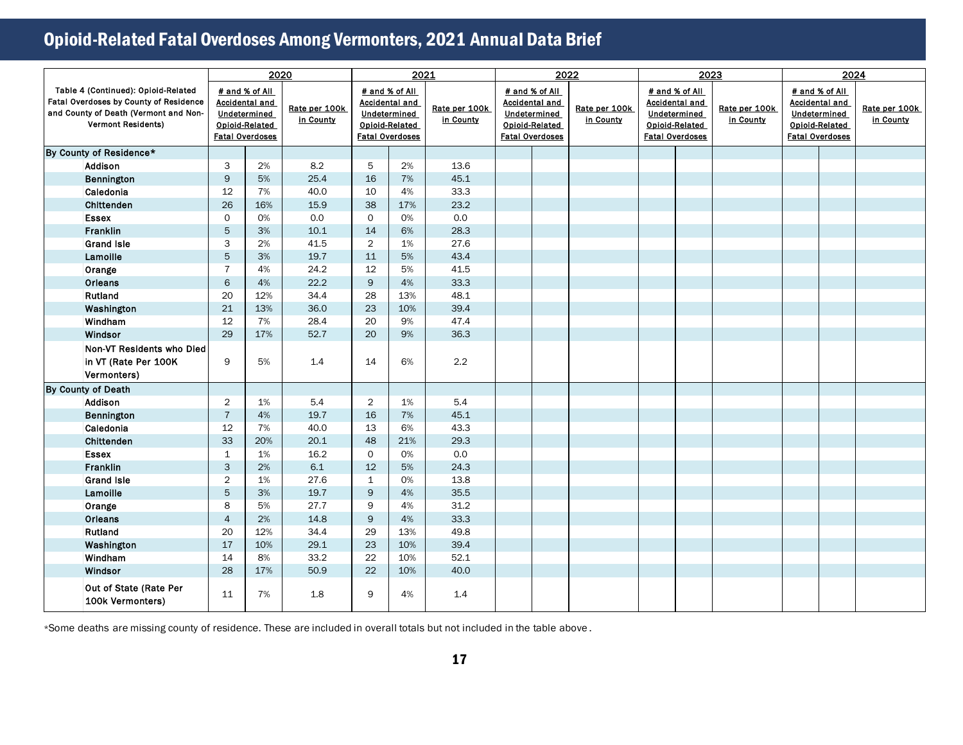|                                                                                                                                                     |                | 2020                                                                                                |                            |                | 2021                                                                                                |                            |                        | 2022                                                                      |                            | 2023 |                                                                                                     |                            | 2024                                   |                                                           |                            |
|-----------------------------------------------------------------------------------------------------------------------------------------------------|----------------|-----------------------------------------------------------------------------------------------------|----------------------------|----------------|-----------------------------------------------------------------------------------------------------|----------------------------|------------------------|---------------------------------------------------------------------------|----------------------------|------|-----------------------------------------------------------------------------------------------------|----------------------------|----------------------------------------|-----------------------------------------------------------|----------------------------|
| Table 4 (Continued): Opioid-Related<br>Fatal Overdoses by County of Residence<br>and County of Death (Vermont and Non-<br><b>Vermont Residents)</b> |                | # and % of All<br><b>Accidental and</b><br>Undetermined<br>Opioid-Related<br><b>Fatal Overdoses</b> | Rate per 100k<br>in County |                | # and % of All<br><b>Accidental and</b><br>Undetermined<br>Opioid-Related<br><b>Fatal Overdoses</b> | Rate per 100k<br>in County | <b>Fatal Overdoses</b> | # and % of All<br><b>Accidental and</b><br>Undetermined<br>Opioid-Related | Rate per 100k<br>in County |      | # and % of All<br><b>Accidental and</b><br>Undetermined<br>Opioid-Related<br><b>Fatal Overdoses</b> | Rate per 100k<br>in County | Undetermined<br><b>Fatal Overdoses</b> | # and % of All<br><b>Accidental and</b><br>Opioid-Related | Rate per 100k<br>in County |
| By County of Residence*                                                                                                                             |                |                                                                                                     |                            |                |                                                                                                     |                            |                        |                                                                           |                            |      |                                                                                                     |                            |                                        |                                                           |                            |
| Addison                                                                                                                                             | 3              | 2%                                                                                                  | 8.2                        | 5              | 2%                                                                                                  | 13.6                       |                        |                                                                           |                            |      |                                                                                                     |                            |                                        |                                                           |                            |
| Bennington                                                                                                                                          | $\mathsf{9}$   | 5%                                                                                                  | 25.4                       | 16             | 7%                                                                                                  | 45.1                       |                        |                                                                           |                            |      |                                                                                                     |                            |                                        |                                                           |                            |
| Caledonia                                                                                                                                           | 12             | 7%                                                                                                  | 40.0                       | 10             | 4%                                                                                                  | 33.3                       |                        |                                                                           |                            |      |                                                                                                     |                            |                                        |                                                           |                            |
| Chittenden                                                                                                                                          | 26             | 16%                                                                                                 | 15.9                       | 38             | 17%                                                                                                 | 23.2                       |                        |                                                                           |                            |      |                                                                                                     |                            |                                        |                                                           |                            |
| <b>Essex</b>                                                                                                                                        | $\mathbf 0$    | 0%                                                                                                  | 0.0                        | $\mathsf{O}$   | 0%                                                                                                  | 0.0                        |                        |                                                                           |                            |      |                                                                                                     |                            |                                        |                                                           |                            |
| Franklin                                                                                                                                            | 5              | 3%                                                                                                  | 10.1                       | 14             | 6%                                                                                                  | 28.3                       |                        |                                                                           |                            |      |                                                                                                     |                            |                                        |                                                           |                            |
| <b>Grand Isle</b>                                                                                                                                   | 3              | 2%                                                                                                  | 41.5                       | $\overline{2}$ | 1%                                                                                                  | 27.6                       |                        |                                                                           |                            |      |                                                                                                     |                            |                                        |                                                           |                            |
| Lamoille                                                                                                                                            | $\sqrt{5}$     | 3%                                                                                                  | 19.7                       | 11             | 5%                                                                                                  | 43.4                       |                        |                                                                           |                            |      |                                                                                                     |                            |                                        |                                                           |                            |
| Orange                                                                                                                                              | $\overline{7}$ | 4%                                                                                                  | 24.2                       | 12             | 5%                                                                                                  | 41.5                       |                        |                                                                           |                            |      |                                                                                                     |                            |                                        |                                                           |                            |
| Orleans                                                                                                                                             | $\,$ 6         | 4%                                                                                                  | 22.2                       | 9              | 4%                                                                                                  | 33.3                       |                        |                                                                           |                            |      |                                                                                                     |                            |                                        |                                                           |                            |
| Rutland                                                                                                                                             | 20             | 12%                                                                                                 | 34.4                       | 28             | 13%                                                                                                 | 48.1                       |                        |                                                                           |                            |      |                                                                                                     |                            |                                        |                                                           |                            |
| Washington                                                                                                                                          | 21             | 13%                                                                                                 | 36.0                       | 23             | 10%                                                                                                 | 39.4                       |                        |                                                                           |                            |      |                                                                                                     |                            |                                        |                                                           |                            |
| Windham                                                                                                                                             | 12             | 7%                                                                                                  | 28.4                       | 20             | 9%                                                                                                  | 47.4                       |                        |                                                                           |                            |      |                                                                                                     |                            |                                        |                                                           |                            |
| Windsor                                                                                                                                             | 29             | 17%                                                                                                 | 52.7                       | 20             | 9%                                                                                                  | 36.3                       |                        |                                                                           |                            |      |                                                                                                     |                            |                                        |                                                           |                            |
| Non-VT Residents who Died<br>in VT (Rate Per 100K<br>Vermonters)                                                                                    | 9              | 5%                                                                                                  | 1.4                        | 14             | 6%                                                                                                  | 2.2                        |                        |                                                                           |                            |      |                                                                                                     |                            |                                        |                                                           |                            |
| By County of Death                                                                                                                                  |                |                                                                                                     |                            |                |                                                                                                     |                            |                        |                                                                           |                            |      |                                                                                                     |                            |                                        |                                                           |                            |
| Addison                                                                                                                                             | $\overline{2}$ | 1%                                                                                                  | 5.4                        | $\overline{2}$ | 1%                                                                                                  | 5.4                        |                        |                                                                           |                            |      |                                                                                                     |                            |                                        |                                                           |                            |
| Bennington                                                                                                                                          | $\overline{7}$ | 4%                                                                                                  | 19.7                       | 16             | 7%                                                                                                  | 45.1                       |                        |                                                                           |                            |      |                                                                                                     |                            |                                        |                                                           |                            |
| Caledonia                                                                                                                                           | 12             | 7%                                                                                                  | 40.0                       | 13             | 6%                                                                                                  | 43.3                       |                        |                                                                           |                            |      |                                                                                                     |                            |                                        |                                                           |                            |
| Chittenden                                                                                                                                          | 33             | 20%                                                                                                 | 20.1                       | 48             | 21%                                                                                                 | 29.3                       |                        |                                                                           |                            |      |                                                                                                     |                            |                                        |                                                           |                            |
| <b>Essex</b>                                                                                                                                        | $\mathbf 1$    | 1%                                                                                                  | 16.2                       | 0              | 0%                                                                                                  | 0.0                        |                        |                                                                           |                            |      |                                                                                                     |                            |                                        |                                                           |                            |
| Franklin                                                                                                                                            | 3              | 2%                                                                                                  | 6.1                        | 12             | 5%                                                                                                  | 24.3                       |                        |                                                                           |                            |      |                                                                                                     |                            |                                        |                                                           |                            |
| <b>Grand Isle</b>                                                                                                                                   | $\overline{2}$ | 1%                                                                                                  | 27.6                       | $\mathbf{1}$   | 0%                                                                                                  | 13.8                       |                        |                                                                           |                            |      |                                                                                                     |                            |                                        |                                                           |                            |
| Lamoille                                                                                                                                            | 5              | 3%                                                                                                  | 19.7                       | 9              | 4%                                                                                                  | 35.5                       |                        |                                                                           |                            |      |                                                                                                     |                            |                                        |                                                           |                            |
| Orange                                                                                                                                              | 8              | 5%                                                                                                  | 27.7                       | 9              | 4%                                                                                                  | 31.2                       |                        |                                                                           |                            |      |                                                                                                     |                            |                                        |                                                           |                            |
| Orleans                                                                                                                                             | $\overline{4}$ | 2%                                                                                                  | 14.8                       | $\overline{9}$ | 4%                                                                                                  | 33.3                       |                        |                                                                           |                            |      |                                                                                                     |                            |                                        |                                                           |                            |
| Rutland                                                                                                                                             | 20             | 12%                                                                                                 | 34.4                       | 29             | 13%                                                                                                 | 49.8                       |                        |                                                                           |                            |      |                                                                                                     |                            |                                        |                                                           |                            |
| Washington                                                                                                                                          | 17             | 10%                                                                                                 | 29.1                       | 23             | 10%                                                                                                 | 39.4                       |                        |                                                                           |                            |      |                                                                                                     |                            |                                        |                                                           |                            |
| Windham                                                                                                                                             | 14             | 8%                                                                                                  | 33.2                       | 22             | 10%                                                                                                 | 52.1                       |                        |                                                                           |                            |      |                                                                                                     |                            |                                        |                                                           |                            |
| Windsor                                                                                                                                             | 28             | 17%                                                                                                 | 50.9                       | 22             | 10%                                                                                                 | 40.0                       |                        |                                                                           |                            |      |                                                                                                     |                            |                                        |                                                           |                            |
| Out of State (Rate Per<br>100k Vermonters)                                                                                                          | 11             | 7%                                                                                                  | 1.8                        | 9              | 4%                                                                                                  | 1.4                        |                        |                                                                           |                            |      |                                                                                                     |                            |                                        |                                                           |                            |

\*Some deaths are missing county of residence. These are included in overall totals but not included in the table above .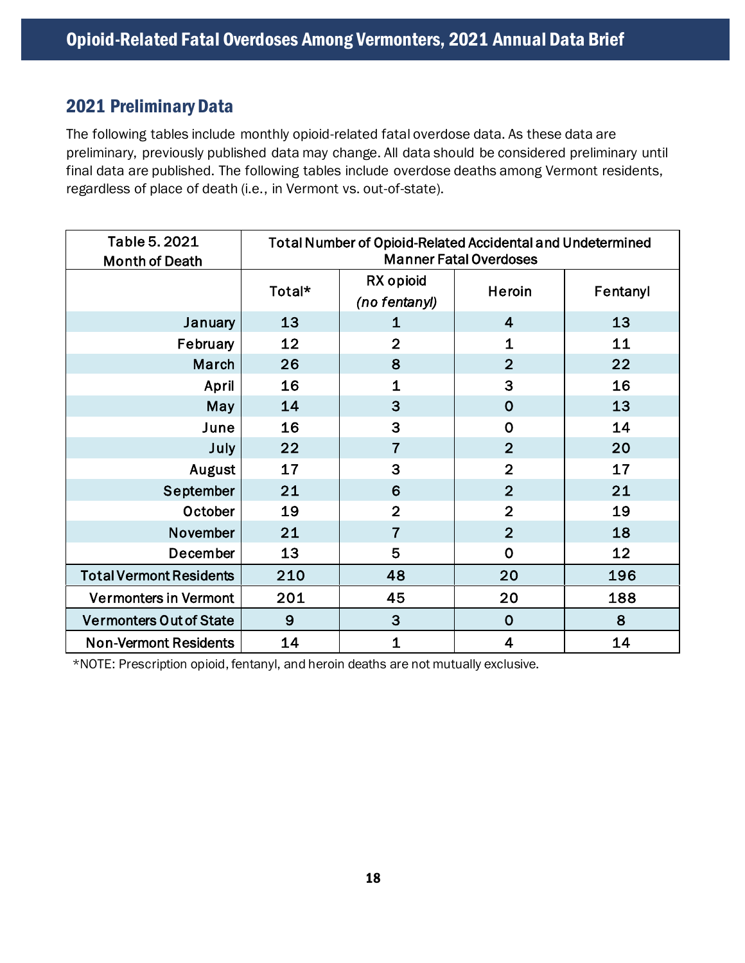### <span id="page-17-0"></span>2021 Preliminary Data

The following tables include monthly opioid-related fatal overdose data. As these data are preliminary, previously published data may change. All data should be considered preliminary until final data are published. The following tables include overdose deaths among Vermont residents, regardless of place of death (i.e., in Vermont vs. out-of-state).

| Table 5. 2021<br><b>Month of Death</b> | Total Number of Opioid-Related Accidental and Undetermined<br><b>Manner Fatal Overdoses</b> |                            |                         |          |  |  |  |  |  |
|----------------------------------------|---------------------------------------------------------------------------------------------|----------------------------|-------------------------|----------|--|--|--|--|--|
|                                        | Total*                                                                                      | RX opioid<br>(no fentanyl) | Heroin                  | Fentanyl |  |  |  |  |  |
| January                                | 13                                                                                          | 1                          | $\overline{\mathbf{4}}$ | 13       |  |  |  |  |  |
| February                               | 12                                                                                          | $\overline{2}$             | $\mathbf{1}$            | 11       |  |  |  |  |  |
| March                                  | 26                                                                                          | 8                          | $\overline{2}$          | 22       |  |  |  |  |  |
| April                                  | 16                                                                                          | $\mathbf 1$                | 3                       | 16       |  |  |  |  |  |
| May                                    | 14                                                                                          | 3                          | $\overline{0}$          | 13       |  |  |  |  |  |
| June                                   | 16                                                                                          | 3                          | $\overline{0}$          | 14       |  |  |  |  |  |
| July                                   | 22                                                                                          | 7                          | $\overline{2}$          | 20       |  |  |  |  |  |
| August                                 | 17                                                                                          | 3                          | $\overline{2}$          | 17       |  |  |  |  |  |
| September                              | 21                                                                                          | 6                          | $\overline{2}$          | 21       |  |  |  |  |  |
| October                                | 19                                                                                          | $\overline{2}$             | $\overline{2}$          | 19       |  |  |  |  |  |
| November                               | 21                                                                                          | $\overline{7}$             | $\overline{2}$          | 18       |  |  |  |  |  |
| December                               | 13                                                                                          | 5                          | $\mathbf 0$             | 12       |  |  |  |  |  |
| <b>Total Vermont Residents</b>         | 210                                                                                         | 48                         | 20                      | 196      |  |  |  |  |  |
| <b>Vermonters in Vermont</b>           | 201                                                                                         | 45                         | 20                      | 188      |  |  |  |  |  |
| <b>Vermonters Out of State</b>         | 9                                                                                           | 3                          | $\mathbf 0$             | 8        |  |  |  |  |  |
| <b>Non-Vermont Residents</b>           | 14                                                                                          | 1                          | 4                       | 14       |  |  |  |  |  |

\*NOTE: Prescription opioid, fentanyl, and heroin deaths are not mutually exclusive.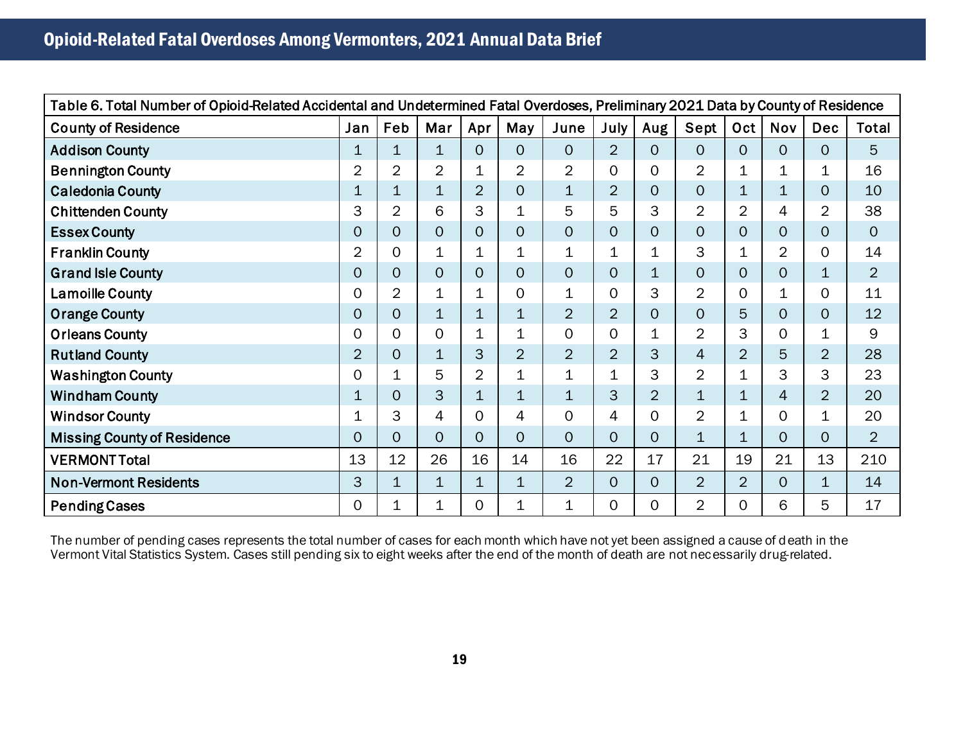| Table 6. Total Number of Opioid-Related Accidental and Undetermined Fatal Overdoses, Preliminary 2021 Data by County of Residence |                |                |                     |                |                |                |                |                |                |                |                |                |                |
|-----------------------------------------------------------------------------------------------------------------------------------|----------------|----------------|---------------------|----------------|----------------|----------------|----------------|----------------|----------------|----------------|----------------|----------------|----------------|
| <b>County of Residence</b>                                                                                                        | Jan            | Feb            | Mar                 | Apr            | May            | June           | <b>July</b>    | Aug            | Sept           | Oct            | <b>Nov</b>     | <b>Dec</b>     | Total          |
| <b>Addison County</b>                                                                                                             | 1              | 1              | $\mathbf 1$         | $\overline{0}$ | $\overline{O}$ | $\overline{O}$ | $\overline{2}$ | $\mathbf{O}$   | 0              | 0              | $\mathbf{O}$   | $\mathsf{O}$   | $5\phantom{.}$ |
| <b>Bennington County</b>                                                                                                          | 2              | $\overline{2}$ | 2                   | 1              | 2              | $\overline{2}$ | 0              | $\Omega$       | $\overline{2}$ | 1              | 1              | 1              | 16             |
| <b>Caledonia County</b>                                                                                                           | 1              | 1              | $\mathbf{1}$        | $\overline{2}$ | $\overline{0}$ | $\mathbf 1$    | $\overline{2}$ | 0              | $\overline{O}$ | 1              | $\mathbf 1$    | $\mathsf{O}$   | 10             |
| <b>Chittenden County</b>                                                                                                          | 3              | $\overline{2}$ | 6                   | 3              | 1              | 5              | 5              | 3              | $\overline{2}$ | $\overline{2}$ | 4              | $\overline{2}$ | 38             |
| <b>Essex County</b>                                                                                                               | 0              | $\mathsf{O}$   | $\mathsf{O}\xspace$ | $\overline{O}$ | $\overline{O}$ | $\Omega$       | 0              | $\overline{O}$ | $\overline{0}$ | 0              | $\overline{O}$ | 0              | $\overline{O}$ |
| <b>Franklin County</b>                                                                                                            | $\overline{2}$ | $\mathbf 0$    | $\mathbf 1$         | $\mathbf{1}$   | 1              | $\mathbf{1}$   | $\mathbf 1$    | 1              | 3              | 1              | $\overline{2}$ | 0              | 14             |
| <b>Grand Isle County</b>                                                                                                          | 0              | $\overline{O}$ | $\overline{O}$      | 0              | $\overline{O}$ | $\overline{O}$ | 0              | $\mathbf 1$    | $\overline{O}$ | 0              | $\overline{O}$ | 1              | $\overline{2}$ |
| <b>Lamoille County</b>                                                                                                            | 0              | 2              | $\mathbf 1$         | 1              | 0              | $\mathbf 1$    | 0              | 3              | $\overline{2}$ | 0              | 1              | 0              | 11             |
| <b>Orange County</b>                                                                                                              | 0              | 0              | $\mathbf{1}$        | 1              | $\mathbf{1}$   | $\overline{2}$ | $\overline{2}$ | $\overline{0}$ | $\overline{0}$ | 5              | $\mathbf{O}$   | $\overline{0}$ | 12             |
| <b>Orleans County</b>                                                                                                             | $\mathbf 0$    | $\Omega$       | $\mathbf 0$         | $\mathbf{1}$   | 1              | $\overline{O}$ | $\overline{O}$ | $\mathbf 1$    | $\overline{2}$ | 3              | $\mathbf{O}$   | 1              | 9              |
| <b>Rutland County</b>                                                                                                             | $\overline{2}$ | 0              | $\mathbf{1}$        | 3              | $\overline{2}$ | $\overline{2}$ | $\overline{2}$ | 3              | $\overline{4}$ | $\overline{2}$ | 5              | $\overline{2}$ | 28             |
| <b>Washington County</b>                                                                                                          | 0              | 1              | 5                   | $\overline{2}$ | 1              | $\mathbf 1$    | $\mathbf 1$    | 3              | $\overline{2}$ | 1              | 3              | 3              | 23             |
| <b>Windham County</b>                                                                                                             | 1              | 0              | 3                   | 1              | 1              | $\mathbf 1$    | 3              | $\overline{2}$ | 1              | 1              | $\overline{4}$ | $\overline{2}$ | 20             |
| <b>Windsor County</b>                                                                                                             | 1              | 3              | 4                   | 0              | 4              | $\Omega$       | 4              | $\Omega$       | $\overline{2}$ | 1              | $\mathbf{O}$   | 1              | 20             |
| <b>Missing County of Residence</b>                                                                                                | 0              | $\Omega$       | $\Omega$            | $\overline{O}$ | $\Omega$       | $\Omega$       | 0              | $\overline{O}$ | $\mathbf 1$    | 1              | $\Omega$       | 0              | 2              |
| <b>VERMONT Total</b>                                                                                                              | 13             | 12             | 26                  | 16             | 14             | 16             | 22             | 17             | 21             | 19             | 21             | 13             | 210            |
| <b>Non-Vermont Residents</b>                                                                                                      | 3              | $\mathbf{1}$   | $\mathbf{1}$        | 1              | $\overline{1}$ | $\overline{2}$ | $\Omega$       | $\overline{O}$ | $\overline{2}$ | $\overline{2}$ | $\overline{O}$ | 1              | 14             |
| <b>Pending Cases</b>                                                                                                              | 0              | 1              | $\mathbf{1}$        | 0              | 1              | 1              | 0              | $\overline{0}$ | $\overline{2}$ | 0              | 6              | 5              | 17             |

The number of pending cases represents the total number of cases for each month which have not yet been assigned a cause of death in the Vermont Vital Statistics System. Cases still pending six to eight weeks after the end of the month of death are not necessarily drug-related.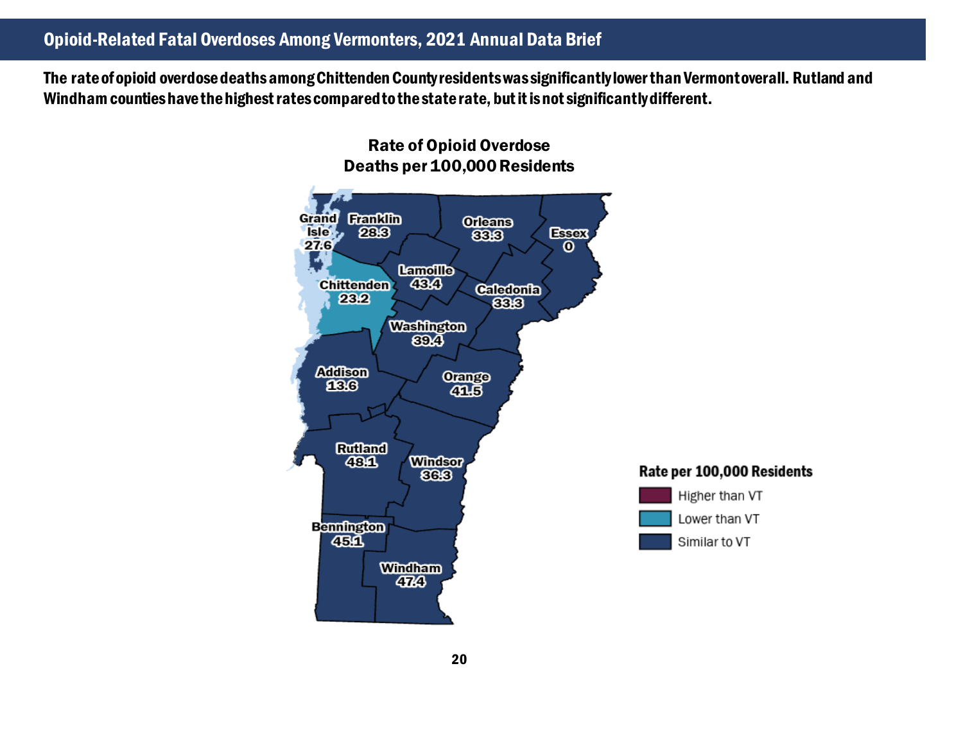The rate of opioid overdose deaths among Chittenden County residents was significantly lower than Vermont overall. Rutland and Windhamcounties have the highest rates compared to the state rate, but it is not significantly different.

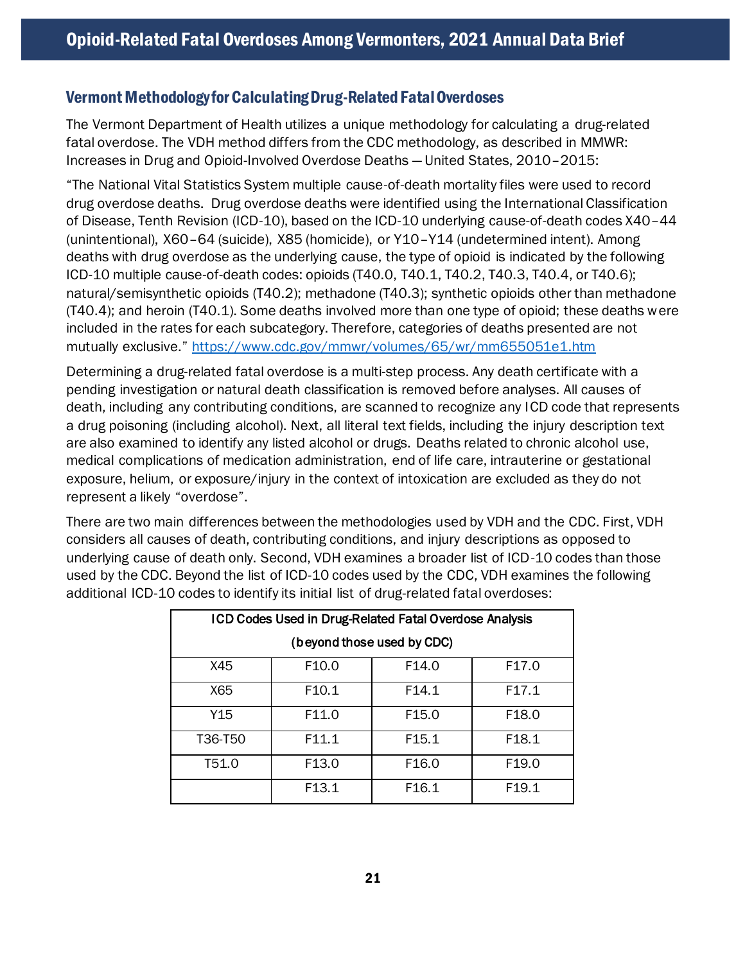#### Vermont Methodology for Calculating Drug-Related FatalOverdoses

The Vermont Department of Health utilizes a unique methodology for calculating a drug-related fatal overdose. The VDH method differs from the CDC methodology, as described in MMWR: Increases in Drug and Opioid-Involved Overdose Deaths — United States, 2010–2015:

"The National Vital Statistics System multiple cause-of-death mortality files were used to record drug overdose deaths. Drug overdose deaths were identified using the International Classification of Disease, Tenth Revision (ICD-10), based on the ICD-10 underlying cause-of-death codes X40–44 (unintentional), X60–64 (suicide), X85 (homicide), or Y10–Y14 (undetermined intent). Among deaths with drug overdose as the underlying cause, the type of opioid is indicated by the following ICD-10 multiple cause-of-death codes: opioids (T40.0, T40.1, T40.2, T40.3, T40.4, or T40.6); natural/semisynthetic opioids (T40.2); methadone (T40.3); synthetic opioids other than methadone (T40.4); and heroin (T40.1). Some deaths involved more than one type of opioid; these deaths were included in the rates for each subcategory. Therefore, categories of deaths presented are not mutually exclusive." <https://www.cdc.gov/mmwr/volumes/65/wr/mm655051e1.htm>

Determining a drug-related fatal overdose is a multi-step process. Any death certificate with a pending investigation or natural death classification is removed before analyses. All causes of death, including any contributing conditions, are scanned to recognize any ICD code that represents a drug poisoning (including alcohol). Next, all literal text fields, including the injury description text are also examined to identify any listed alcohol or drugs. Deaths related to chronic alcohol use, medical complications of medication administration, end of life care, intrauterine or gestational exposure, helium, or exposure/injury in the context of intoxication are excluded as they do not represent a likely "overdose".

There are two main differences between the methodologies used by VDH and the CDC. First, VDH considers all causes of death, contributing conditions, and injury descriptions as opposed to underlying cause of death only. Second, VDH examines a broader list of ICD-10 codes than those used by the CDC. Beyond the list of ICD-10 codes used by the CDC, VDH examines the following additional ICD-10 codes to identify its initial list of drug-related fatal overdoses:

| ICD Codes Used in Drug-Related Fatal Overdose Analysis |                   |                   |                   |  |  |  |  |  |  |
|--------------------------------------------------------|-------------------|-------------------|-------------------|--|--|--|--|--|--|
| (beyond those used by CDC)                             |                   |                   |                   |  |  |  |  |  |  |
| X45                                                    | F <sub>10.0</sub> | F <sub>14.0</sub> | F <sub>17.0</sub> |  |  |  |  |  |  |
| X65                                                    | F <sub>10.1</sub> | F14.1             | F17.1             |  |  |  |  |  |  |
| Y15                                                    | F11.0             | F <sub>15.0</sub> | F <sub>18.0</sub> |  |  |  |  |  |  |
| T36-T50                                                | F11.1             | F <sub>15.1</sub> | F <sub>18.1</sub> |  |  |  |  |  |  |
| T51.0                                                  | F <sub>13.0</sub> | F <sub>16.0</sub> | F <sub>19.0</sub> |  |  |  |  |  |  |
|                                                        | F <sub>13.1</sub> | F <sub>16.1</sub> | F <sub>19.1</sub> |  |  |  |  |  |  |